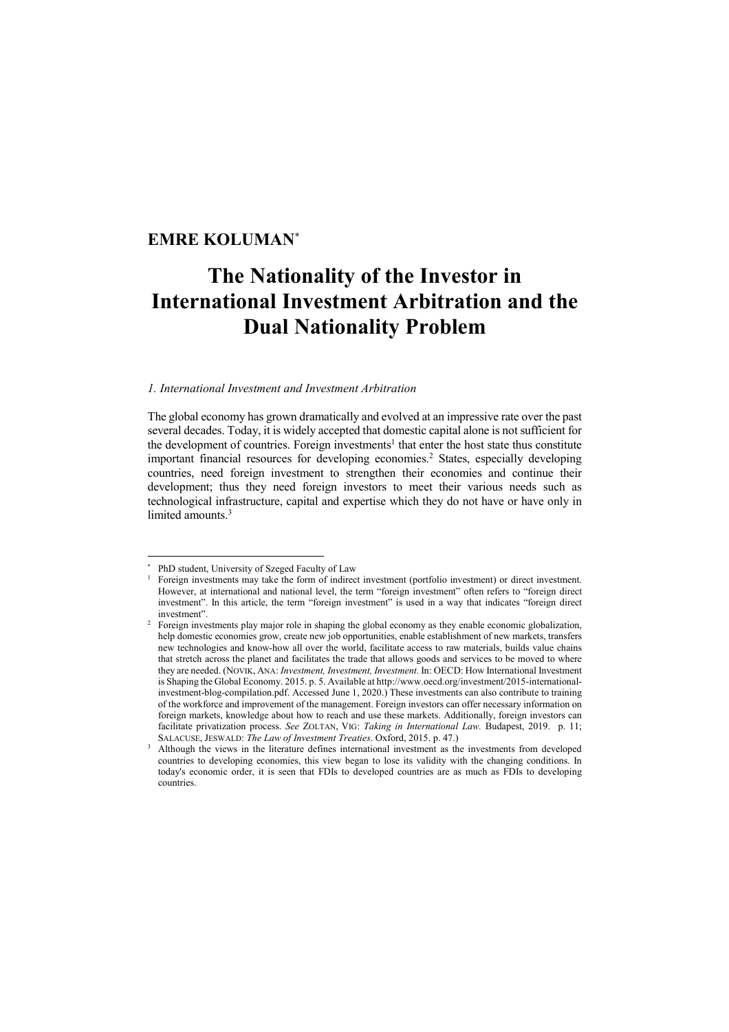# **EMRE KOLUMAN**\*

# **The Nationality of the Investor in International Investment Arbitration and the Dual Nationality Problem**

## *1. International Investment and Investment Arbitration*

The global economy has grown dramatically and evolved at an impressive rate over the past several decades. Today, it is widely accepted that domestic capital alone is not sufficient for the development of countries. Foreign investments<sup>1</sup> that enter the host state thus constitute important financial resources for developing economies.<sup>2</sup> States, especially developing countries, need foreign investment to strengthen their economies and continue their development; thus they need foreign investors to meet their various needs such as technological infrastructure, capital and expertise which they do not have or have only in limited amounts.<sup>3</sup>

<sup>\*</sup> PhD student, University of Szeged Faculty of Law

<sup>1</sup> Foreign investments may take the form of indirect investment (portfolio investment) or direct investment. However, at international and national level, the term "foreign investment" often refers to "foreign direct investment". In this article, the term "foreign investment" is used in a way that indicates "foreign direct investment".

Foreign investments play major role in shaping the global economy as they enable economic globalization, help domestic economies grow, create new job opportunities, enable establishment of new markets, transfers new technologies and know-how all over the world, facilitate access to raw materials, builds value chains that stretch across the planet and facilitates the trade that allows goods and services to be moved to where they are needed. (NOVIK, ANA: *Investment, Investment, Investment.* In: OECD: How International Investment is Shaping the Global Economy. 2015. p. 5. Available at http://www.oecd.org/investment/2015-internationalinvestment-blog-compilation.pdf. Accessed June 1, 2020.) These investments can also contribute to training of the workforce and improvement of the management. Foreign investors can offer necessary information on foreign markets, knowledge about how to reach and use these markets. Additionally, foreign investors can facilitate privatization process. *See* ZOLTAN, VIG: *Taking in International Law.* Budapest, 2019. p. 11; SALACUSE, JESWALD: *The Law of Investment Treaties*. Oxford, 2015. p. 47.)

<sup>&</sup>lt;sup>3</sup> Although the views in the literature defines international investment as the investments from developed countries to developing economies, this view began to lose its validity with the changing conditions. In today's economic order, it is seen that FDIs to developed countries are as much as FDIs to developing countries.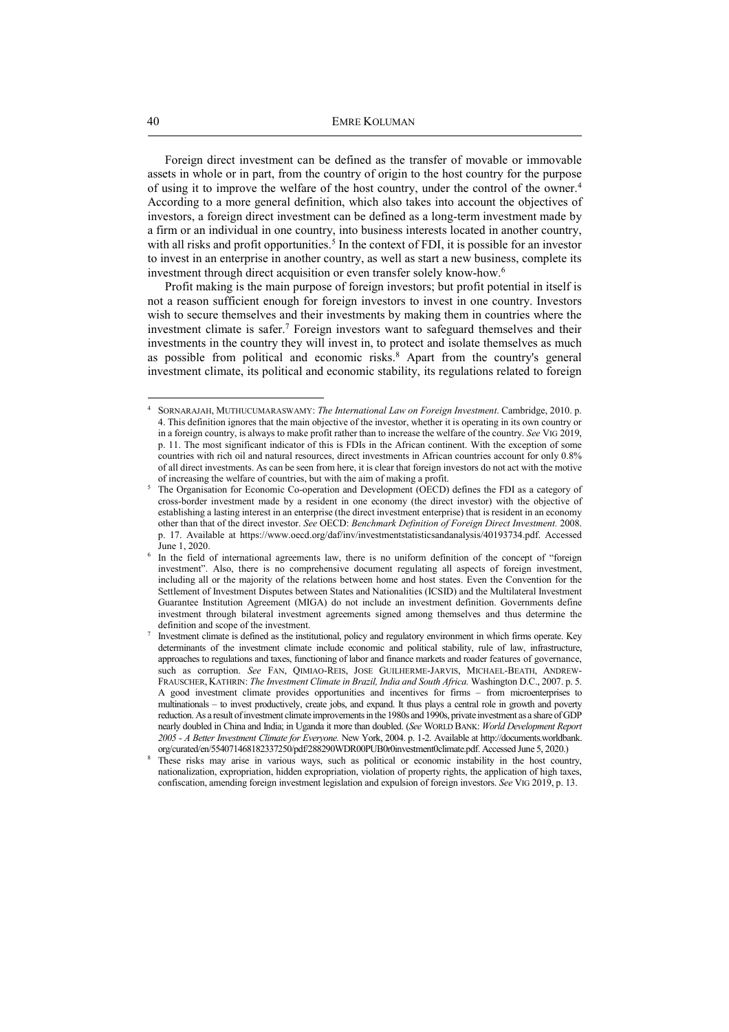Foreign direct investment can be defined as the transfer of movable or immovable assets in whole or in part, from the country of origin to the host country for the purpose of using it to improve the welfare of the host country, under the control of the owner.<sup>4</sup> According to a more general definition, which also takes into account the objectives of investors, a foreign direct investment can be defined as a long-term investment made by a firm or an individual in one country, into business interests located in another country, with all risks and profit opportunities.<sup>5</sup> In the context of FDI, it is possible for an investor to invest in an enterprise in another country, as well as start a new business, complete its investment through direct acquisition or even transfer solely know-how.<sup>6</sup>

Profit making is the main purpose of foreign investors; but profit potential in itself is not a reason sufficient enough for foreign investors to invest in one country. Investors wish to secure themselves and their investments by making them in countries where the investment climate is safer.<sup>7</sup> Foreign investors want to safeguard themselves and their investments in the country they will invest in, to protect and isolate themselves as much as possible from political and economic risks.<sup>8</sup> Apart from the country's general investment climate, its political and economic stability, its regulations related to foreign

<sup>4</sup> SORNARAJAH, MUTHUCUMARASWAMY: *The International Law on Foreign Investment*. Cambridge, 2010. p. 4. This definition ignores that the main objective of the investor, whether it is operating in its own country or in a foreign country, is always to make profit rather than to increase the welfare of the country. *See* VIG 2019, p. 11. The most significant indicator of this is FDIs in the African continent. With the exception of some countries with rich oil and natural resources, direct investments in African countries account for only 0.8% of all direct investments. As can be seen from here, it is clear that foreign investors do not act with the motive of increasing the welfare of countries, but with the aim of making a profit.

<sup>5</sup> The Organisation for Economic Co-operation and Development (OECD) defines the FDI as a category of cross-border investment made by a resident in one economy (the direct investor) with the objective of establishing a lasting interest in an enterprise (the direct investment enterprise) that is resident in an economy other than that of the direct investor. *See* OECD: *Benchmark Definition of Foreign Direct Investment.* 2008. p. 17. Available at https://www.oecd.org/daf/inv/investmentstatisticsandanalysis/40193734.pdf. Accessed June 1, 2020.

<sup>&</sup>lt;sup>6</sup> In the field of international agreements law, there is no uniform definition of the concept of "foreign investment". Also, there is no comprehensive document regulating all aspects of foreign investment, including all or the majority of the relations between home and host states. Even the Convention for the Settlement of Investment Disputes between States and Nationalities (ICSID) and the Multilateral Investment Guarantee Institution Agreement (MIGA) do not include an investment definition. Governments define investment through bilateral investment agreements signed among themselves and thus determine the definition and scope of the investment. 7

Investment climate is defined as the institutional, policy and regulatory environment in which firms operate. Key determinants of the investment climate include economic and political stability, rule of law, infrastructure, approaches to regulations and taxes, functioning of labor and finance markets and roader features of governance, such as corruption. *See* FAN, QIMIAO-REIS, JOSE GUILHERME-JARVIS, MICHAEL-BEATH, ANDREW-FRAUSCHER, KATHRIN: *The Investment Climate in Brazil, India and South Africa.* Washington D.C., 2007. p. 5. A good investment climate provides opportunities and incentives for firms – from microenterprises to multinationals – to invest productively, create jobs, and expand. It thus plays a central role in growth and poverty reduction. As a result of investment climate improvements in the 1980s and 1990s, private investment as a share of GDP nearly doubled in China and India; in Uganda it more than doubled. (*See* WORLD BANK: *World Development Report 2005 - A Better Investment Climate for Everyone.* New York, 2004. p. 1-2. Available at http://documents.worldbank. org/curated/en/554071468182337250/pdf/288290WDR00PUB0r0investment0climate.pdf. Accessed June 5, 2020.)

<sup>8</sup> These risks may arise in various ways, such as political or economic instability in the host country, nationalization, expropriation, hidden expropriation, violation of property rights, the application of high taxes, confiscation, amending foreign investment legislation and expulsion of foreign investors. *See* VIG 2019, p. 13.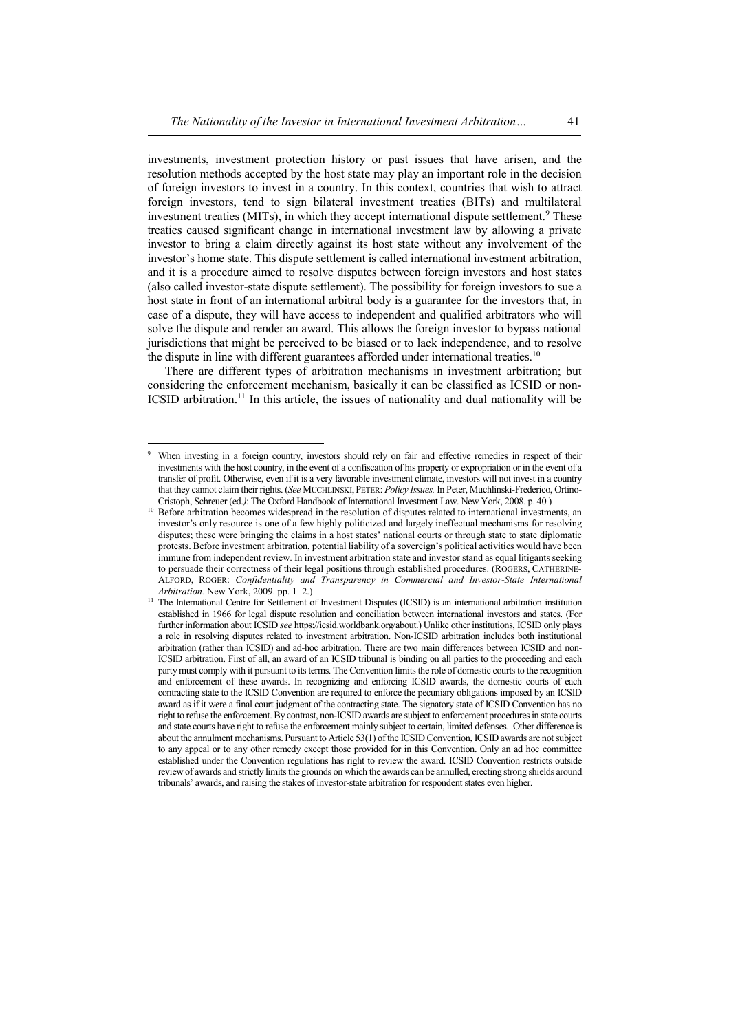investments, investment protection history or past issues that have arisen, and the resolution methods accepted by the host state may play an important role in the decision of foreign investors to invest in a country. In this context, countries that wish to attract foreign investors, tend to sign bilateral investment treaties (BITs) and multilateral investment treaties (MITs), in which they accept international dispute settlement.<sup>9</sup> These treaties caused significant change in international investment law by allowing a private investor to bring a claim directly against its host state without any involvement of the investor's home state. This dispute settlement is called international investment arbitration, and it is a procedure aimed to resolve disputes between foreign investors and host states (also called investor-state dispute settlement). The possibility for foreign investors to sue a host state in front of an international arbitral body is a guarantee for the investors that, in case of a dispute, they will have access to independent and qualified arbitrators who will solve the dispute and render an award. This allows the foreign investor to bypass national jurisdictions that might be perceived to be biased or to lack independence, and to resolve the dispute in line with different guarantees afforded under international treaties.<sup>10</sup>

There are different types of arbitration mechanisms in investment arbitration; but considering the enforcement mechanism, basically it can be classified as ICSID or non-ICSID arbitration.<sup>11</sup> In this article, the issues of nationality and dual nationality will be

<sup>9</sup> When investing in a foreign country, investors should rely on fair and effective remedies in respect of their investments with the host country, in the event of a confiscation of his property or expropriation or in the event of a transfer of profit. Otherwise, even if it is a very favorable investment climate, investors will not invest in a country that they cannot claim their rights. (*See* MUCHLINSKI,PETER: *Policy Issues.* In Peter, Muchlinski-Frederico, Ortino-Cristoph, Schreuer (ed.*)*: The Oxford Handbook of International Investment Law. New York, 2008. p. 40*.*)

<sup>&</sup>lt;sup>10</sup> Before arbitration becomes widespread in the resolution of disputes related to international investments, an investor's only resource is one of a few highly politicized and largely ineffectual mechanisms for resolving disputes; these were bringing the claims in a host states' national courts or through state to state diplomatic protests. Before investment arbitration, potential liability of a sovereign's political activities would have been immune from independent review. In investment arbitration state and investor stand as equal litigants seeking to persuade their correctness of their legal positions through established procedures. (ROGERS, CATHERINE-ALFORD, ROGER: *Confidentiality and Transparency in Commercial and Investor-State International Arbitration.* New York, 2009. pp. 1–2.)

<sup>&</sup>lt;sup>11</sup> The International Centre for Settlement of Investment Disputes (ICSID) is an international arbitration institution established in 1966 for legal dispute resolution and conciliation between international investors and states. (For further information about ICSID *see* https://icsid.worldbank.org/about.) Unlike other institutions, ICSID only plays a role in resolving disputes related to investment arbitration. Non-ICSID arbitration includes both institutional arbitration (rather than ICSID) and ad-hoc arbitration. There are two main differences between ICSID and non-ICSID arbitration. First of all, an award of an ICSID tribunal is binding on all parties to the proceeding and each party must comply with it pursuant to its terms. The Convention limits the role of domestic courts to the recognition and enforcement of these awards. In recognizing and enforcing ICSID awards, the domestic courts of each contracting state to the ICSID Convention are required to enforce the pecuniary obligations imposed by an ICSID award as if it were a final court judgment of the contracting state. The signatory state of ICSID Convention has no right to refuse the enforcement. By contrast, non-ICSID awards are subject to enforcement procedures in state courts and state courts have right to refuse the enforcement mainly subject to certain, limited defenses. Other difference is about the annulment mechanisms. Pursuant to Article 53(1) of the ICSID Convention, ICSID awards are not subject to any appeal or to any other remedy except those provided for in this Convention. Only an ad hoc committee established under the Convention regulations has right to review the award. ICSID Convention restricts outside review of awards and strictly limits the grounds on which the awards can be annulled, erecting strong shields around tribunals' awards, and raising the stakes of investor-state arbitration for respondent states even higher.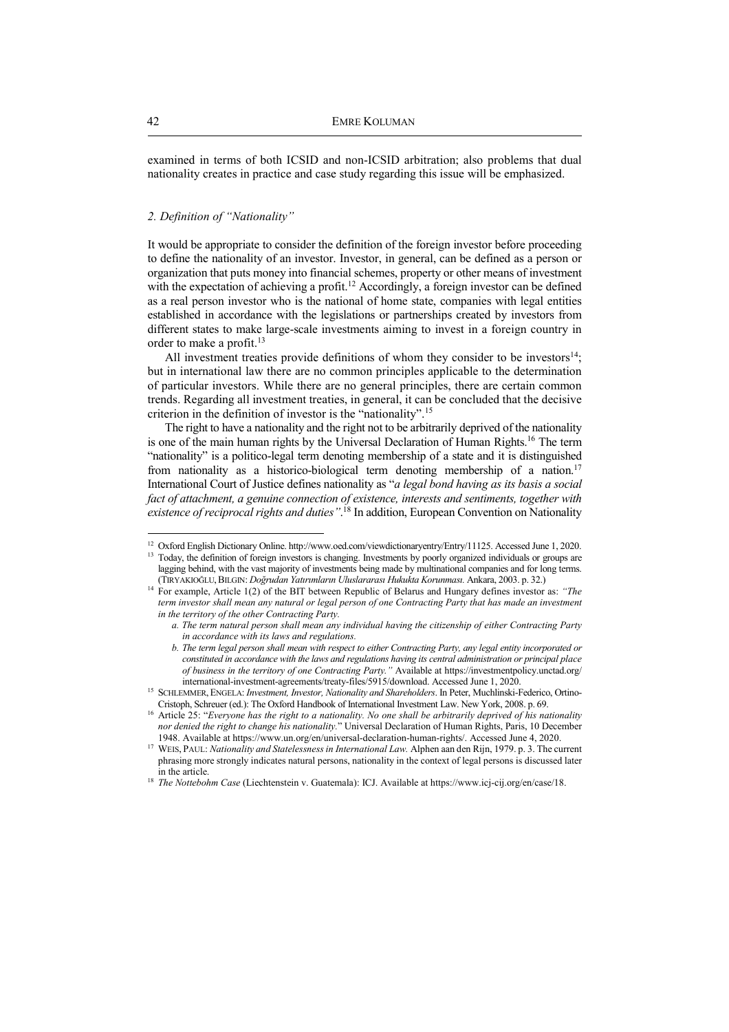examined in terms of both ICSID and non-ICSID arbitration; also problems that dual nationality creates in practice and case study regarding this issue will be emphasized.

# *2. Definition of "Nationality"*

It would be appropriate to consider the definition of the foreign investor before proceeding to define the nationality of an investor. Investor, in general, can be defined as a person or organization that puts money into financial schemes, property or other means of investment with the expectation of achieving a profit.<sup>12</sup> Accordingly, a foreign investor can be defined as a real person investor who is the national of home state, companies with legal entities established in accordance with the legislations or partnerships created by investors from different states to make large-scale investments aiming to invest in a foreign country in order to make a profit.<sup>13</sup>

All investment treaties provide definitions of whom they consider to be investors $14$ ; but in international law there are no common principles applicable to the determination of particular investors. While there are no general principles, there are certain common trends. Regarding all investment treaties, in general, it can be concluded that the decisive criterion in the definition of investor is the "nationality".<sup>15</sup>

The right to have a nationality and the right not to be arbitrarily deprived of the nationality is one of the main human rights by the Universal Declaration of Human Rights.<sup>16</sup> The term "nationality" is a politico-legal term denoting membership of a state and it is distinguished from nationality as a historico-biological term denoting membership of a nation.<sup>17</sup> International Court of Justice defines nationality as "*a legal bond having as its basis a social fact of attachment, a genuine connection of existence, interests and sentiments, together with existence of reciprocal rights and duties"*. <sup>18</sup> In addition, European Convention on Nationality

<sup>&</sup>lt;sup>12</sup> Oxford English Dictionary Online. http://www.oed.com/viewdictionaryentry/Entry/11125. Accessed June 1, 2020. <sup>13</sup> Today, the definition of foreign investors is changing. Investments by poorly organized individuals or groups are

lagging behind, with the vast majority of investments being made by multinational companies and for long terms. (TIRYAKIOĞLU,BILGIN: *Doğrudan Yatırımların Uluslararası Hukukta Korunması.* Ankara, 2003. p. 32.)

<sup>&</sup>lt;sup>14</sup> For example, Article 1(2) of the BIT between Republic of Belarus and Hungary defines investor as: *"The term investor shall mean any natural or legal person of one Contracting Party that has made an investment in the territory of the other Contracting Party.* 

*a. The term natural person shall mean any individual having the citizenship of either Contracting Party in accordance with its laws and regulations.* 

*b. The term legal person shall mean with respect to either Contracting Party, any legal entity incorporated or constituted in accordance with the laws and regulations having its central administration or principal place of business in the territory of one Contracting Party."* Available at https://investmentpolicy.unctad.org/ international-investment-agreements/treaty-files/5915/download. Accessed June 1, 2020.

<sup>&</sup>lt;sup>15</sup> SCHLEMMER, ENGELA: *Investment, Investor, Nationality and Shareholders*. In Peter, Muchlinski-Federico, Ortino-Cristoph, Schreuer (ed.): The Oxford Handbook of International Investment Law. New York, 2008. p. 69.

<sup>16</sup> Article 25: "*Everyone has the right to a nationality. No one shall be arbitrarily deprived of his nationality nor denied the right to change his nationality.*" Universal Declaration of Human Rights, Paris, 10 December 1948. Available at https://www.un.org/en/universal-declaration-human-rights/. Accessed June 4, 2020.

<sup>&</sup>lt;sup>17</sup> WEIS, PAUL: *Nationality and Statelessness in International Law*. Alphen aan den Rijn, 1979. p. 3. The current phrasing more strongly indicates natural persons, nationality in the context of legal persons is discussed later in the article.

<sup>&</sup>lt;sup>18</sup> *The Nottebohm Case* (Liechtenstein v. Guatemala): ICJ. Available at https://www.icj-cij.org/en/case/18.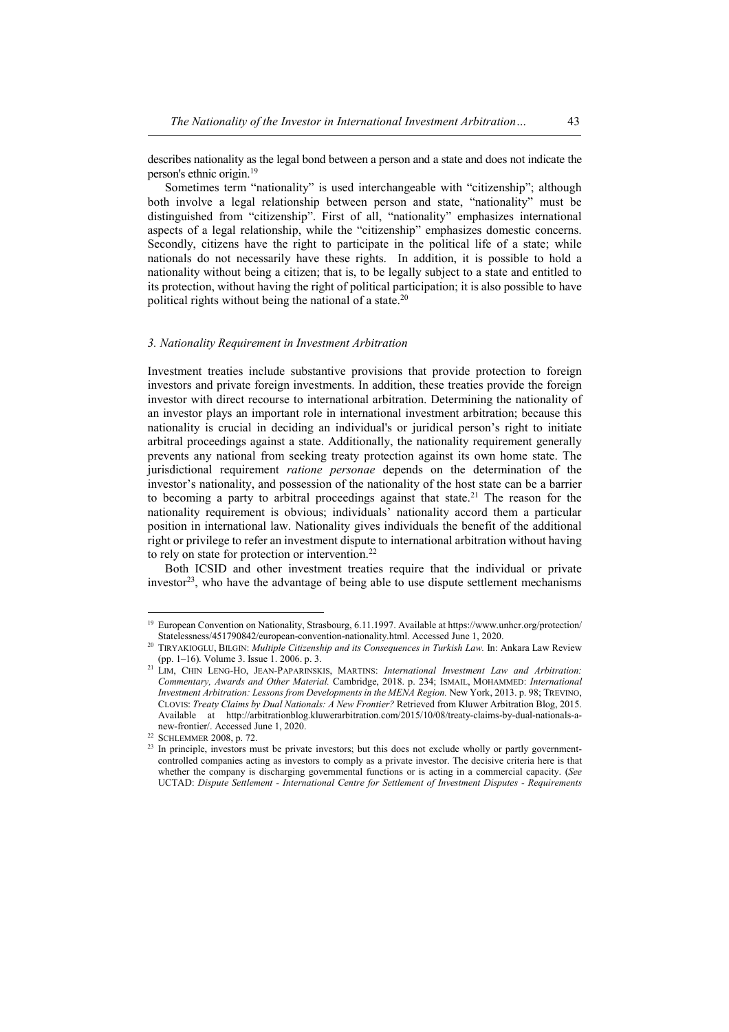describes nationality as the legal bond between a person and a state and does not indicate the person's ethnic origin.<sup>19</sup>

Sometimes term "nationality" is used interchangeable with "citizenship"; although both involve a legal relationship between person and state, "nationality" must be distinguished from "citizenship". First of all, "nationality" emphasizes international aspects of a legal relationship, while the "citizenship" emphasizes domestic concerns. Secondly, citizens have the right to participate in the political life of a state; while nationals do not necessarily have these rights. In addition, it is possible to hold a nationality without being a citizen; that is, to be legally subject to a state and entitled to its protection, without having the right of political participation; it is also possible to have political rights without being the national of a state.<sup>20</sup>

## *3. Nationality Requirement in Investment Arbitration*

Investment treaties include substantive provisions that provide protection to foreign investors and private foreign investments. In addition, these treaties provide the foreign investor with direct recourse to international arbitration. Determining the nationality of an investor plays an important role in international investment arbitration; because this nationality is crucial in deciding an individual's or juridical person's right to initiate arbitral proceedings against a state. Additionally, the nationality requirement generally prevents any national from seeking treaty protection against its own home state. The jurisdictional requirement *ratione personae* depends on the determination of the investor's nationality, and possession of the nationality of the host state can be a barrier to becoming a party to arbitral proceedings against that state.<sup>21</sup> The reason for the nationality requirement is obvious; individuals' nationality accord them a particular position in international law. Nationality gives individuals the benefit of the additional right or privilege to refer an investment dispute to international arbitration without having to rely on state for protection or intervention.<sup>22</sup>

Both ICSID and other investment treaties require that the individual or private investor<sup>23</sup>, who have the advantage of being able to use dispute settlement mechanisms

<sup>&</sup>lt;sup>19</sup> European Convention on Nationality, Strasbourg, 6.11.1997. Available at https://www.unhcr.org/protection/ Statelessness/451790842/european-convention-nationality.html. Accessed June 1, 2020.

<sup>20</sup> TIRYAKIOGLU, BILGIN: *Multiple Citizenship and its Consequences in Turkish Law.* In: Ankara Law Review (pp. 1–16). Volume 3. Issue 1. 2006. p. 3.

<sup>21</sup> LIM, CHIN LENG-HO, JEAN-PAPARINSKIS, MARTINS: *International Investment Law and Arbitration: Commentary, Awards and Other Material.* Cambridge, 2018. p. 234; ISMAIL, MOHAMMED: *International Investment Arbitration: Lessons from Developments in the MENA Region.* New York, 2013. p. 98; TREVINO, CLOVIS: *Treaty Claims by Dual Nationals: A New Frontier?* Retrieved from Kluwer Arbitration Blog, 2015. Available at http://arbitrationblog.kluwerarbitration.com/2015/10/08/treaty-claims-by-dual-nationals-anew-frontier/. Accessed June 1, 2020.

<sup>22</sup> SCHLEMMER 2008, p. 72.

<sup>&</sup>lt;sup>23</sup> In principle, investors must be private investors; but this does not exclude wholly or partly governmentcontrolled companies acting as investors to comply as a private investor. The decisive criteria here is that whether the company is discharging governmental functions or is acting in a commercial capacity. (*See*  UCTAD: *Dispute Settlement - International Centre for Settlement of Investment Disputes - Requirements*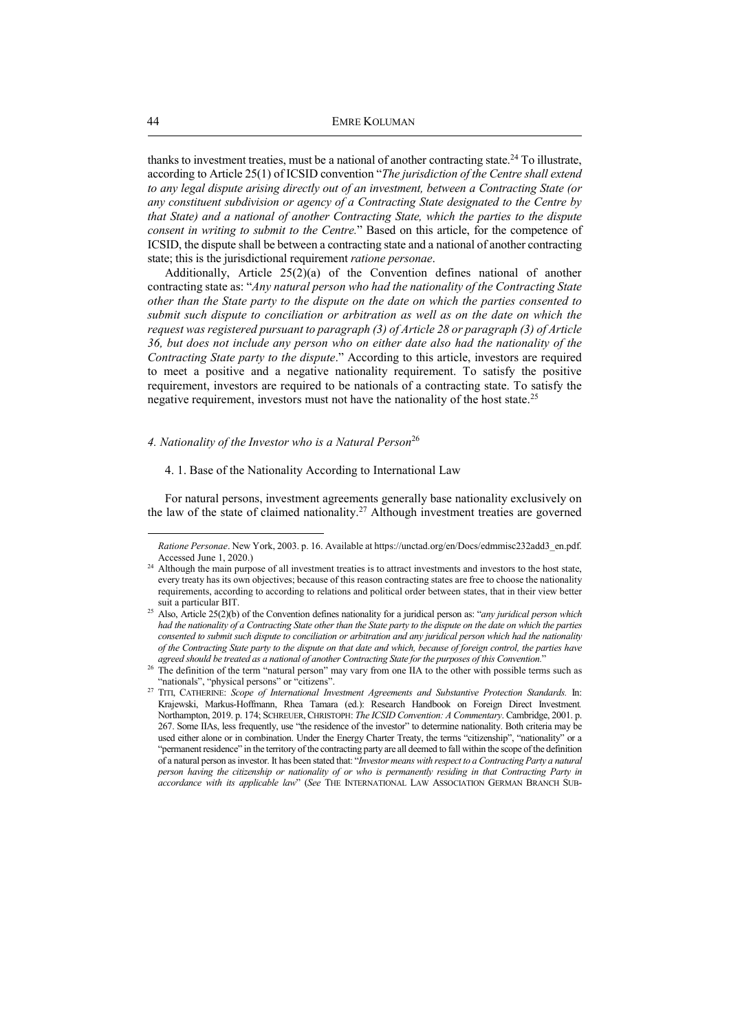thanks to investment treaties, must be a national of another contracting state.<sup>24</sup> To illustrate, according to Article 25(1) of ICSID convention "*The jurisdiction of the Centre shall extend to any legal dispute arising directly out of an investment, between a Contracting State (or any constituent subdivision or agency of a Contracting State designated to the Centre by that State) and a national of another Contracting State, which the parties to the dispute consent in writing to submit to the Centre.*" Based on this article, for the competence of ICSID, the dispute shall be between a contracting state and a national of another contracting state; this is the jurisdictional requirement *ratione personae*.

Additionally, Article 25(2)(a) of the Convention defines national of another contracting state as: "*Any natural person who had the nationality of the Contracting State other than the State party to the dispute on the date on which the parties consented to submit such dispute to conciliation or arbitration as well as on the date on which the request was registered pursuant to paragraph (3) of Article 28 or paragraph (3) of Article 36, but does not include any person who on either date also had the nationality of the Contracting State party to the dispute*." According to this article, investors are required to meet a positive and a negative nationality requirement. To satisfy the positive requirement, investors are required to be nationals of a contracting state. To satisfy the negative requirement, investors must not have the nationality of the host state.<sup>25</sup>

#### *4. Nationality of the Investor who is a Natural Person*<sup>26</sup>

#### 4. 1. Base of the Nationality According to International Law

For natural persons, investment agreements generally base nationality exclusively on the law of the state of claimed nationality.<sup>27</sup> Although investment treaties are governed

*Ratione Personae*. New York, 2003. p. 16. Available at https://unctad.org/en/Docs/edmmisc232add3\_en.pdf. Accessed June 1, 2020.)

<sup>&</sup>lt;sup>24</sup> Although the main purpose of all investment treaties is to attract investments and investors to the host state, every treaty has its own objectives; because of this reason contracting states are free to choose the nationality requirements, according to according to relations and political order between states, that in their view better suit a particular BIT.

<sup>25</sup> Also, Article 25(2)(b) of the Convention defines nationality for a juridical person as: "*any juridical person which had the nationality of a Contracting State other than the State party to the dispute on the date on which the parties consented to submit such dispute to conciliation or arbitration and any juridical person which had the nationality of the Contracting State party to the dispute on that date and which, because of foreign control, the parties have agreed should be treated as a national of another Contracting State for the purposes of this Convention.*"

<sup>&</sup>lt;sup>26</sup> The definition of the term "natural person" may vary from one IIA to the other with possible terms such as "nationals", "physical persons" or "citizens".

<sup>27</sup> TITI, CATHERINE: *Scope of International Investment Agreements and Substantive Protection Standards.* In: Krajewski, Markus-Hoffmann, Rhea Tamara (ed.): Research Handbook on Foreign Direct Investment*.* Northampton, 2019. p. 174; SCHREUER, CHRISTOPH: *The ICSID Convention: A Commentary*. Cambridge, 2001. p. 267. Some IIAs, less frequently, use "the residence of the investor" to determine nationality. Both criteria may be used either alone or in combination. Under the Energy Charter Treaty, the terms "citizenship", "nationality" or a "permanent residence" in the territory of the contracting party are all deemed to fall within the scope of the definition of a natural person as investor. It has been stated that: "*Investor means with respect to a Contracting Party a natural person having the citizenship or nationality of or who is permanently residing in that Contracting Party in accordance with its applicable law*" (*See* THE INTERNATIONAL LAW ASSOCIATION GERMAN BRANCH SUB-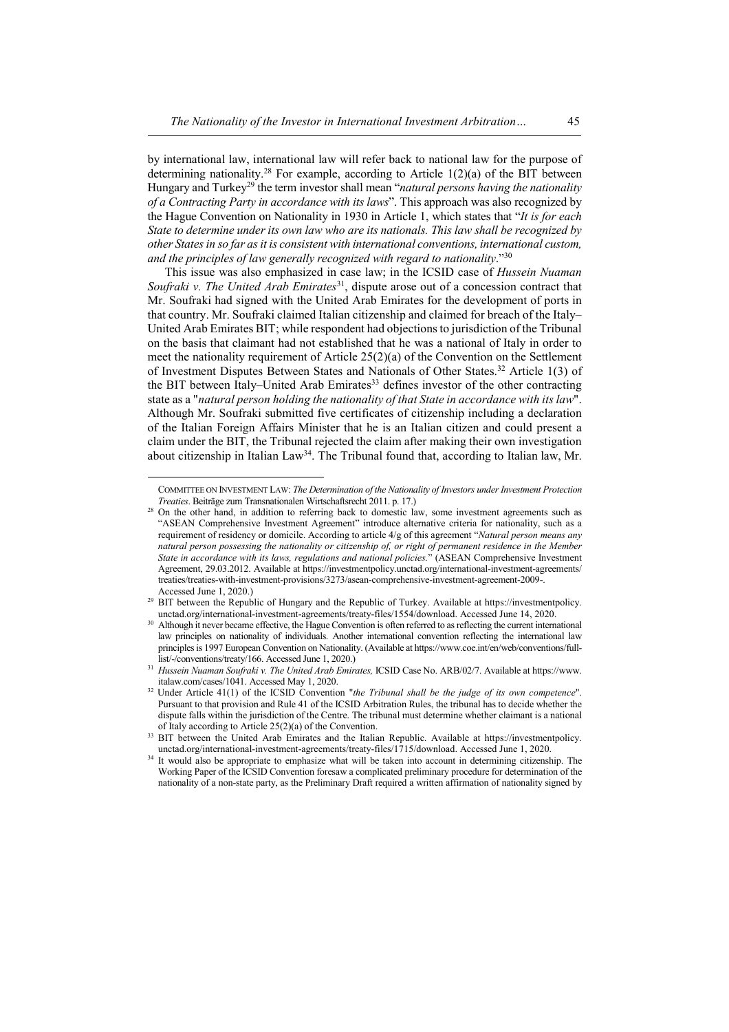by international law, international law will refer back to national law for the purpose of determining nationality.<sup>28</sup> For example, according to Article  $1(2)(a)$  of the BIT between Hungary and Turkey<sup>29</sup> the term investor shall mean "*natural persons having the nationality of a Contracting Party in accordance with its laws*". This approach was also recognized by the Hague Convention on Nationality in 1930 in Article 1, which states that "*It is for each State to determine under its own law who are its nationals. This law shall be recognized by other States in so far as it is consistent with international conventions, international custom, and the principles of law generally recognized with regard to nationality*."<sup>30</sup>

This issue was also emphasized in case law; in the ICSID case of *Hussein Nuaman Soufraki v. The United Arab Emirates*<sup>31</sup>, dispute arose out of a concession contract that Mr. Soufraki had signed with the United Arab Emirates for the development of ports in that country. Mr. Soufraki claimed Italian citizenship and claimed for breach of the Italy– United Arab Emirates BIT; while respondent had objections to jurisdiction of the Tribunal on the basis that claimant had not established that he was a national of Italy in order to meet the nationality requirement of Article 25(2)(a) of the Convention on the Settlement of Investment Disputes Between States and Nationals of Other States.<sup>32</sup> Article 1(3) of the BIT between Italy–United Arab Emirates<sup>33</sup> defines investor of the other contracting state as a "*natural person holding the nationality of that State in accordance with its law*". Although Mr. Soufraki submitted five certificates of citizenship including a declaration of the Italian Foreign Affairs Minister that he is an Italian citizen and could present a claim under the BIT, the Tribunal rejected the claim after making their own investigation about citizenship in Italian Law<sup>34</sup>. The Tribunal found that, according to Italian law, Mr.

COMMITTEE ON INVESTMENT LAW: *The Determination of the Nationality of Investors under Investment Protection Treaties*. Beiträge zum Transnationalen Wirtschaftsrecht 2011. p. 17.)

<sup>&</sup>lt;sup>28</sup> On the other hand, in addition to referring back to domestic law, some investment agreements such as "ASEAN Comprehensive Investment Agreement" introduce alternative criteria for nationality, such as a requirement of residency or domicile. According to article 4/g of this agreement "*Natural person means any natural person possessing the nationality or citizenship of, or right of permanent residence in the Member State in accordance with its laws, regulations and national policies.*" (ASEAN Comprehensive Investment Agreement, 29.03.2012. Available at https://investmentpolicy.unctad.org/international-investment-agreements/ treaties/treaties-with-investment-provisions/3273/asean-comprehensive-investment-agreement-2009-. Accessed June 1, 2020.)

<sup>&</sup>lt;sup>29</sup> BIT between the Republic of Hungary and the Republic of Turkey. Available at https://investmentpolicy. unctad.org/international-investment-agreements/treaty-files/1554/download. Accessed June 14, 2020.

<sup>&</sup>lt;sup>30</sup> Although it never became effective, the Hague Convention is often referred to as reflecting the current international law principles on nationality of individuals. Another international convention reflecting the international law principles is 1997 European Convention on Nationality. (Available at https://www.coe.int/en/web/conventions/fulllist/-/conventions/treaty/166. Accessed June 1, 2020.)

<sup>31</sup> *Hussein Nuaman Soufraki v. The United Arab Emirates,* ICSID Case No. ARB/02/7. Available at https://www. italaw.com/cases/1041. Accessed May 1, 2020.

<sup>32</sup> Under Article 41(1) of the ICSID Convention "*the Tribunal shall be the judge of its own competence*". Pursuant to that provision and Rule 41 of the ICSID Arbitration Rules, the tribunal has to decide whether the dispute falls within the jurisdiction of the Centre. The tribunal must determine whether claimant is a national of Italy according to Article 25(2)(a) of the Convention.

<sup>&</sup>lt;sup>33</sup> BIT between the United Arab Emirates and the Italian Republic. Available at https://investmentpolicy. unctad.org/international-investment-agreements/treaty-files/1715/download. Accessed June 1, 2020.

<sup>&</sup>lt;sup>34</sup> It would also be appropriate to emphasize what will be taken into account in determining citizenship. The Working Paper of the ICSID Convention foresaw a complicated preliminary procedure for determination of the nationality of a non-state party, as the Preliminary Draft required a written affirmation of nationality signed by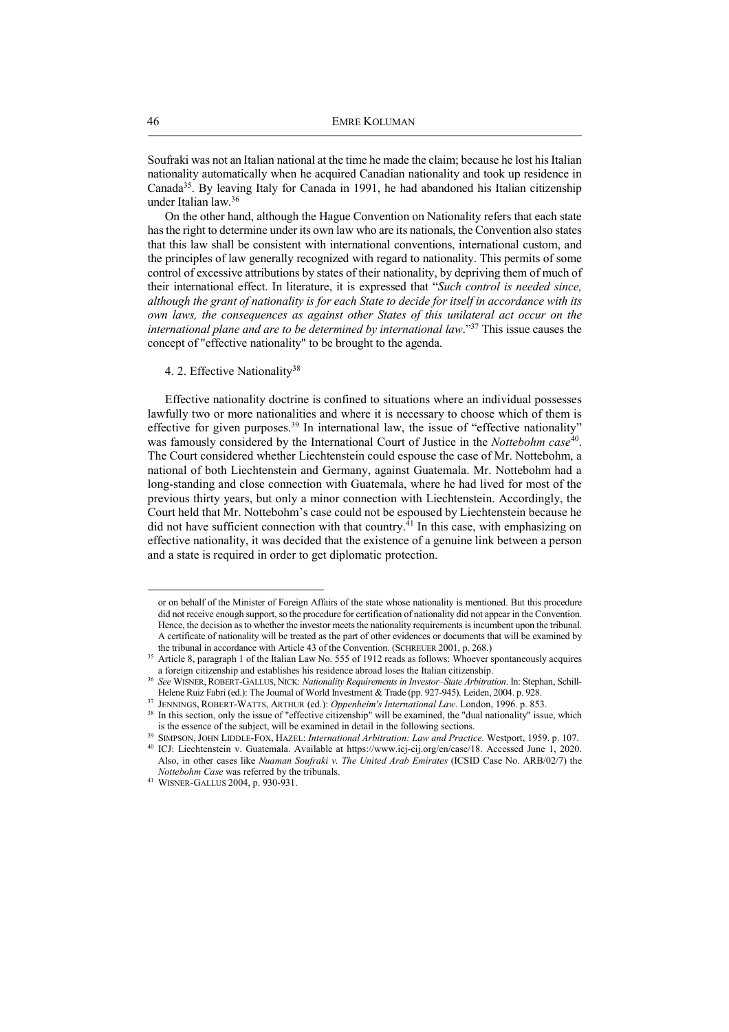Soufraki was not an Italian national at the time he made the claim; because he lost his Italian nationality automatically when he acquired Canadian nationality and took up residence in Canada<sup>35</sup>. By leaving Italy for Canada in 1991, he had abandoned his Italian citizenship under Italian law.<sup>36</sup>

On the other hand, although the Hague Convention on Nationality refers that each state has the right to determine under its own law who are its nationals, the Convention also states that this law shall be consistent with international conventions, international custom, and the principles of law generally recognized with regard to nationality. This permits of some control of excessive attributions by states of their nationality, by depriving them of much of their international effect. In literature, it is expressed that "*Such control is needed since, although the grant of nationality is for each State to decide for itself in accordance with its own laws, the consequences as against other States of this unilateral act occur on the international plane and are to be determined by international law*."<sup>37</sup> This issue causes the concept of "effective nationality" to be brought to the agenda.

# 4. 2. Effective Nationality<sup>38</sup>

Effective nationality doctrine is confined to situations where an individual possesses lawfully two or more nationalities and where it is necessary to choose which of them is effective for given purposes.<sup>39</sup> In international law, the issue of "effective nationality" was famously considered by the International Court of Justice in the *Nottebohm case*<sup>40</sup>. The Court considered whether Liechtenstein could espouse the case of Mr. Nottebohm, a national of both Liechtenstein and Germany, against Guatemala. Mr. Nottebohm had a long-standing and close connection with Guatemala, where he had lived for most of the previous thirty years, but only a minor connection with Liechtenstein. Accordingly, the Court held that Mr. Nottebohm's case could not be espoused by Liechtenstein because he did not have sufficient connection with that country.<sup>41</sup> In this case, with emphasizing on effective nationality, it was decided that the existence of a genuine link between a person and a state is required in order to get diplomatic protection.

or on behalf of the Minister of Foreign Affairs of the state whose nationality is mentioned. But this procedure did not receive enough support, so the procedure for certification of nationality did not appear in the Convention. Hence, the decision as to whether the investor meets the nationality requirements is incumbent upon the tribunal. A certificate of nationality will be treated as the part of other evidences or documents that will be examined by the tribunal in accordance with Article 43 of the Convention. (SCHREUER 2001, p. 268.)

<sup>35</sup> Article 8, paragraph 1 of the Italian Law No. 555 of 1912 reads as follows: Whoever spontaneously acquires a foreign citizenship and establishes his residence abroad loses the Italian citizenship.

<sup>36</sup> *See* WISNER, ROBERT-GALLUS, NICK: *Nationality Requirements in Investor–State Arbitration*. In: Stephan, Schill-Helene Ruiz Fabri (ed.): The Journal of World Investment & Trade (pp. 927-945). Leiden, 2004. p. 928.

<sup>37</sup> JENNINGS, ROBERT-WATTS, ARTHUR (ed.): *Oppenheim's International Law*. London, 1996. p. 853.

<sup>&</sup>lt;sup>38</sup> In this section, only the issue of "effective citizenship" will be examined, the "dual nationality" issue, which is the essence of the subject, will be examined in detail in the following sections.

<sup>39</sup> SIMPSON, JOHN LIDDLE-FOX, HAZEL: *International Arbitration: Law and Practice.* Westport, 1959. p. 107.

<sup>40</sup> ICJ: Liechtenstein v. Guatemala. Available at https://www.icj-cij.org/en/case/18. Accessed June 1, 2020. Also, in other cases like *Nuaman Soufraki v. The United Arab Emirates* (ICSID Case No. ARB/02/7) the *Nottebohm Case* was referred by the tribunals.

<sup>41</sup> WISNER-GALLUS 2004, p. 930-931.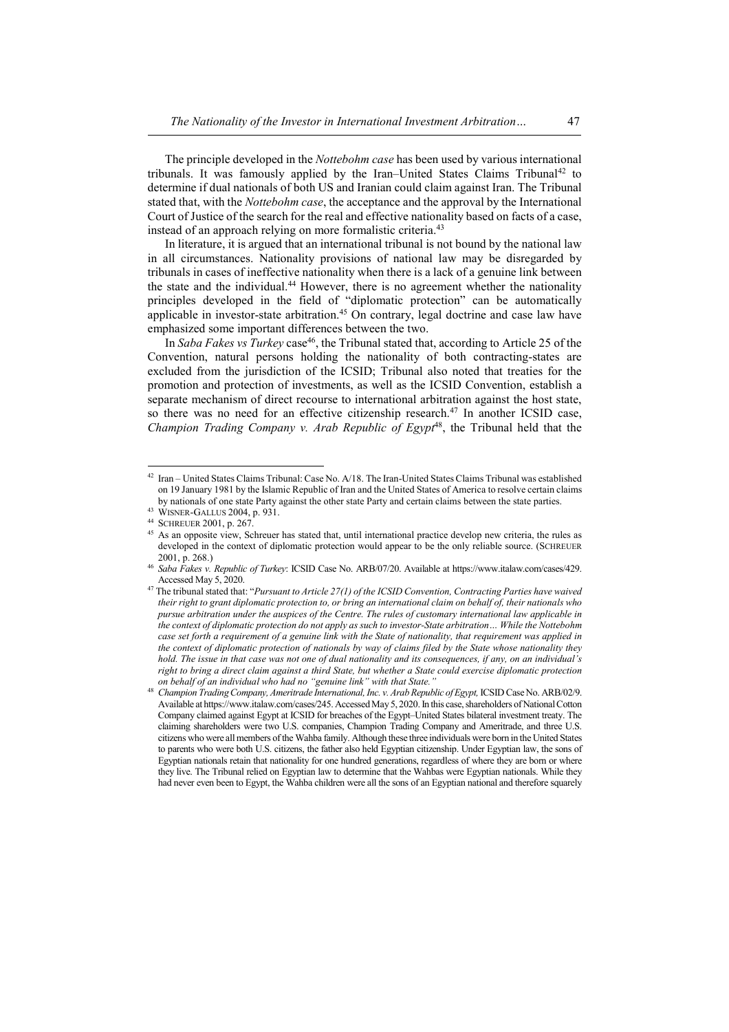The principle developed in the *Nottebohm case* has been used by various international tribunals. It was famously applied by the Iran–United States Claims Tribunal<sup>42</sup> to determine if dual nationals of both US and Iranian could claim against Iran. The Tribunal stated that, with the *Nottebohm case*, the acceptance and the approval by the International Court of Justice of the search for the real and effective nationality based on facts of a case, instead of an approach relying on more formalistic criteria.<sup>43</sup>

In literature, it is argued that an international tribunal is not bound by the national law in all circumstances. Nationality provisions of national law may be disregarded by tribunals in cases of ineffective nationality when there is a lack of a genuine link between the state and the individual.<sup>44</sup> However, there is no agreement whether the nationality principles developed in the field of "diplomatic protection" can be automatically applicable in investor-state arbitration.<sup>45</sup> On contrary, legal doctrine and case law have emphasized some important differences between the two.

In *Saba Fakes vs Turkey* case<sup>46</sup>, the Tribunal stated that, according to Article 25 of the Convention, natural persons holding the nationality of both contracting-states are excluded from the jurisdiction of the ICSID; Tribunal also noted that treaties for the promotion and protection of investments, as well as the ICSID Convention, establish a separate mechanism of direct recourse to international arbitration against the host state, so there was no need for an effective citizenship research.<sup>47</sup> In another ICSID case, *Champion Trading Company v. Arab Republic of Egypt*<sup>48</sup>, the Tribunal held that the

<sup>42</sup> Iran – United States Claims Tribunal: Case No. A/18. The Iran-United States Claims Tribunal was established on 19 January 1981 by the Islamic Republic of Iran and the United States of America to resolve certain claims by nationals of one state Party against the other state Party and certain claims between the state parties.

<sup>43</sup> WISNER-GALLUS 2004, p. 931.

<sup>44</sup> SCHREUER 2001, p. 267.

<sup>&</sup>lt;sup>45</sup> As an opposite view, Schreuer has stated that, until international practice develop new criteria, the rules as developed in the context of diplomatic protection would appear to be the only reliable source. (SCHREUER 2001, p. 268.)

<sup>46</sup> *Saba Fakes v. Republic of Turkey*: ICSID Case No. ARB/07/20. Available at https://www.italaw.com/cases/429. Accessed May 5, 2020.

<sup>47</sup> The tribunal stated that: "*Pursuant to Article 27(1) of the ICSID Convention, Contracting Parties have waived their right to grant diplomatic protection to, or bring an international claim on behalf of, their nationals who pursue arbitration under the auspices of the Centre. The rules of customary international law applicable in the context of diplomatic protection do not apply as such to investor-State arbitration… While the Nottebohm case set forth a requirement of a genuine link with the State of nationality, that requirement was applied in the context of diplomatic protection of nationals by way of claims filed by the State whose nationality they hold. The issue in that case was not one of dual nationality and its consequences, if any, on an individual's right to bring a direct claim against a third State, but whether a State could exercise diplomatic protection on behalf of an individual who had no "genuine link" with that State."*

<sup>48</sup> *Champion Trading Company, Ameritrade International, Inc. v. Arab Republic of Egypt,* ICSID Case No. ARB/02/9. Available at https://www.italaw.com/cases/245. Accessed May 5, 2020. In this case, shareholders of National Cotton Company claimed against Egypt at ICSID for breaches of the Egypt–United States bilateral investment treaty. The claiming shareholders were two U.S. companies, Champion Trading Company and Ameritrade, and three U.S. citizens who were all members of the Wahba family. Although these three individuals were born in the United States to parents who were both U.S. citizens, the father also held Egyptian citizenship. Under Egyptian law, the sons of Egyptian nationals retain that nationality for one hundred generations, regardless of where they are born or where they live. The Tribunal relied on Egyptian law to determine that the Wahbas were Egyptian nationals. While they had never even been to Egypt, the Wahba children were all the sons of an Egyptian national and therefore squarely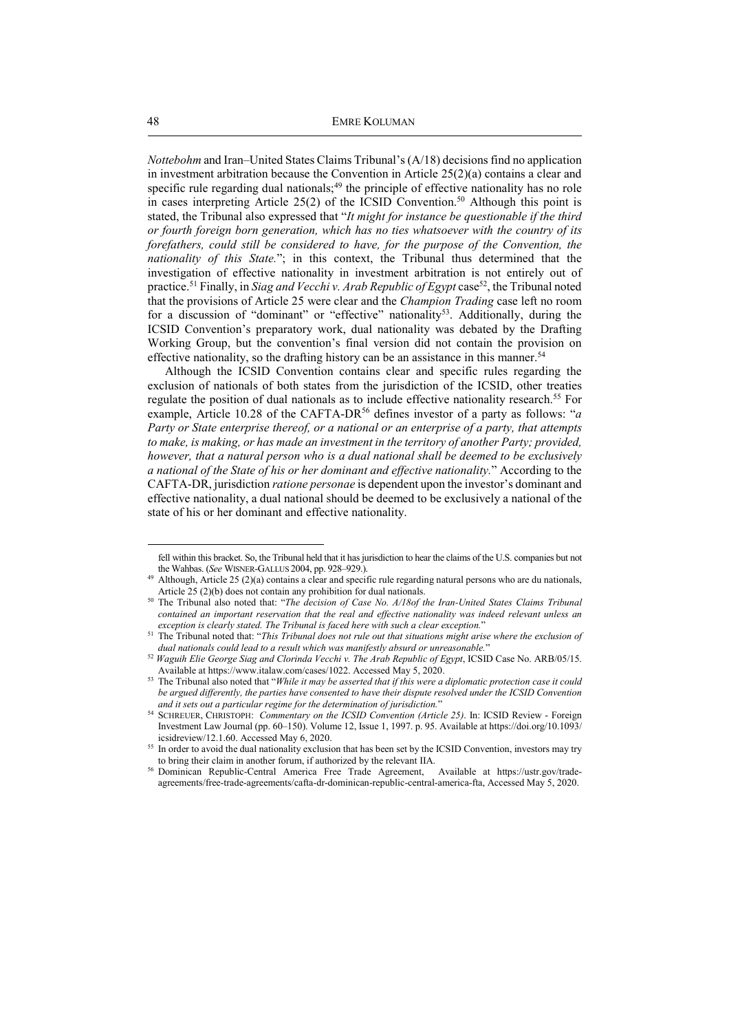*Nottebohm* and Iran–United States Claims Tribunal's (A/18) decisions find no application in investment arbitration because the Convention in Article 25(2)(a) contains a clear and specific rule regarding dual nationals;<sup>49</sup> the principle of effective nationality has no role in cases interpreting Article 25(2) of the ICSID Convention.<sup>50</sup> Although this point is stated, the Tribunal also expressed that "*It might for instance be questionable if the third or fourth foreign born generation, which has no ties whatsoever with the country of its forefathers, could still be considered to have, for the purpose of the Convention, the nationality of this State.*"; in this context, the Tribunal thus determined that the investigation of effective nationality in investment arbitration is not entirely out of practice.<sup>51</sup> Finally, in *Siag and Vecchi v. Arab Republic of Egypt* case<sup>52</sup>, the Tribunal noted that the provisions of Article 25 were clear and the *Champion Trading* case left no room for a discussion of "dominant" or "effective" nationality<sup>53</sup>. Additionally, during the ICSID Convention's preparatory work, dual nationality was debated by the Drafting Working Group, but the convention's final version did not contain the provision on effective nationality, so the drafting history can be an assistance in this manner.<sup>54</sup>

Although the ICSID Convention contains clear and specific rules regarding the exclusion of nationals of both states from the jurisdiction of the ICSID, other treaties regulate the position of dual nationals as to include effective nationality research.<sup>55</sup> For example, Article 10.28 of the CAFTA-DR<sup>56</sup> defines investor of a party as follows: "*a Party or State enterprise thereof, or a national or an enterprise of a party, that attempts to make, is making, or has made an investment in the territory of another Party; provided, however, that a natural person who is a dual national shall be deemed to be exclusively a national of the State of his or her dominant and effective nationality.*" According to the CAFTA-DR, jurisdiction *ratione personae* is dependent upon the investor's dominant and effective nationality, a dual national should be deemed to be exclusively a national of the state of his or her dominant and effective nationality.

fell within this bracket. So, the Tribunal held that it has jurisdiction to hear the claims of the U.S. companies but not the Wahbas. (*See* WISNER-GALLUS 2004, pp. 928–929.).

<sup>&</sup>lt;sup>49</sup> Although, Article 25 (2)(a) contains a clear and specific rule regarding natural persons who are du nationals, Article 25 (2)(b) does not contain any prohibition for dual nationals.

<sup>&</sup>lt;sup>50</sup> The Tribunal also noted that: "*The decision of Case No. A/18of the Iran-United States Claims Tribunal contained an important reservation that the real and effective nationality was indeed relevant unless an exception is clearly stated. The Tribunal is faced here with such a clear exception.*"

<sup>51</sup> The Tribunal noted that: "*This Tribunal does not rule out that situations might arise where the exclusion of dual nationals could lead to a result which was manifestly absurd or unreasonable.*"

<sup>52</sup> *Waguih Elie George Siag and Clorinda Vecchi v. The Arab Republic of Egypt*, ICSID Case No. ARB/05/15. Available at https://www.italaw.com/cases/1022. Accessed May 5, 2020.

<sup>&</sup>lt;sup>53</sup> The Tribunal also noted that "*While it may be asserted that if this were a diplomatic protection case it could be argued differently, the parties have consented to have their dispute resolved under the ICSID Convention and it sets out a particular regime for the determination of jurisdiction.*"

<sup>54</sup> SCHREUER, CHRISTOPH: *Commentary on the ICSID Convention (Article 25)*. In: ICSID Review - Foreign Investment Law Journal (pp. 60–150). Volume 12, Issue 1, 1997. p. 95. Available at https://doi.org/10.1093/ icsidreview/12.1.60. Accessed May 6, 2020.

<sup>&</sup>lt;sup>55</sup> In order to avoid the dual nationality exclusion that has been set by the ICSID Convention, investors may try to bring their claim in another forum, if authorized by the relevant IIA.

<sup>56</sup> Dominican Republic-Central America Free Trade Agreement, Available at https://ustr.gov/tradeagreements/free-trade-agreements/cafta-dr-dominican-republic-central-america-fta, Accessed May 5, 2020.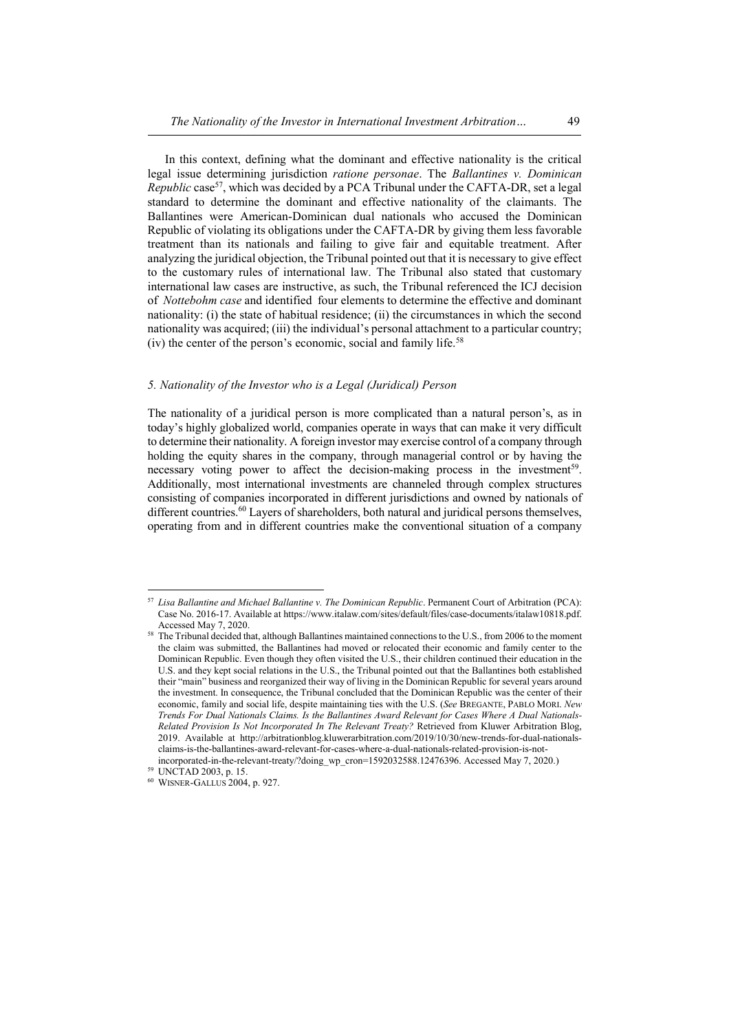In this context, defining what the dominant and effective nationality is the critical legal issue determining jurisdiction *ratione personae*. The *Ballantines v. Dominican Republic* case<sup>57</sup>, which was decided by a PCA Tribunal under the CAFTA-DR, set a legal standard to determine the dominant and effective nationality of the claimants. The Ballantines were American-Dominican dual nationals who accused the Dominican Republic of violating its obligations under the CAFTA-DR by giving them less favorable treatment than its nationals and failing to give fair and equitable treatment. After analyzing the juridical objection, the Tribunal pointed out that it is necessary to give effect to the customary rules of international law. The Tribunal also stated that customary international law cases are instructive, as such, the Tribunal referenced the ICJ decision of *Nottebohm case* and identified four elements to determine the effective and dominant nationality: (i) the state of habitual residence; (ii) the circumstances in which the second nationality was acquired; (iii) the individual's personal attachment to a particular country; (iv) the center of the person's economic, social and family life.<sup>58</sup>

# *5. Nationality of the Investor who is a Legal (Juridical) Person*

The nationality of a juridical person is more complicated than a natural person's, as in today's highly globalized world, companies operate in ways that can make it very difficult to determine their nationality. A foreign investor may exercise control of a company through holding the equity shares in the company, through managerial control or by having the necessary voting power to affect the decision-making process in the investment<sup>59</sup>. Additionally, most international investments are channeled through complex structures consisting of companies incorporated in different jurisdictions and owned by nationals of different countries.<sup>60</sup> Layers of shareholders, both natural and juridical persons themselves, operating from and in different countries make the conventional situation of a company

<sup>57</sup> *Lisa Ballantine and Michael Ballantine v. The Dominican Republic*. Permanent Court of Arbitration (PCA): Case No. 2016-17. Available at https://www.italaw.com/sites/default/files/case-documents/italaw10818.pdf. Accessed May 7, 2020.

<sup>58</sup> The Tribunal decided that, although Ballantines maintained connections to the U.S., from 2006 to the moment the claim was submitted, the Ballantines had moved or relocated their economic and family center to the Dominican Republic. Even though they often visited the U.S., their children continued their education in the U.S. and they kept social relations in the U.S., the Tribunal pointed out that the Ballantines both established their "main" business and reorganized their way of living in the Dominican Republic for several years around the investment. In consequence, the Tribunal concluded that the Dominican Republic was the center of their economic, family and social life, despite maintaining ties with the U.S. (*See* BREGANTE, PABLO MORI. *New Trends For Dual Nationals Claims. Is the Ballantines Award Relevant for Cases Where A Dual Nationals-Related Provision Is Not Incorporated In The Relevant Treaty?* Retrieved from Kluwer Arbitration Blog, 2019. Available at http://arbitrationblog.kluwerarbitration.com/2019/10/30/new-trends-for-dual-nationalsclaims-is-the-ballantines-award-relevant-for-cases-where-a-dual-nationals-related-provision-is-not-

incorporated-in-the-relevant-treaty/?doing\_wp\_cron=1592032588.12476396. Accessed May 7, 2020.)

<sup>59</sup> UNCTAD 2003, p. 15.

<sup>60</sup> WISNER-GALLUS 2004, p. 927.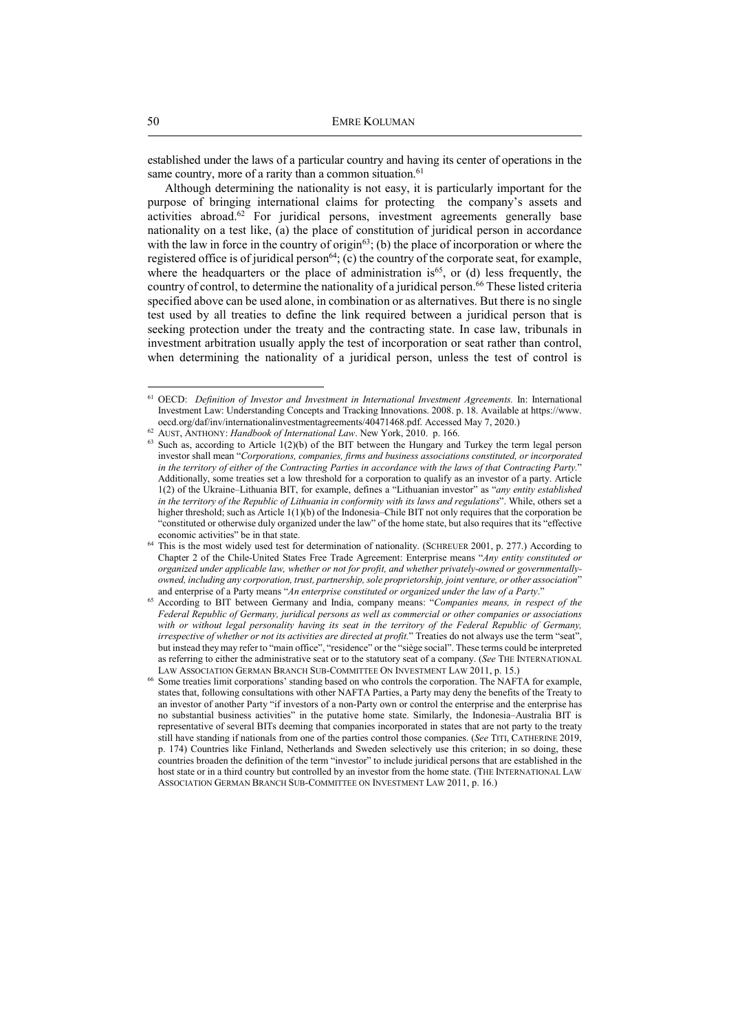established under the laws of a particular country and having its center of operations in the same country, more of a rarity than a common situation. $61$ 

Although determining the nationality is not easy, it is particularly important for the purpose of bringing international claims for protecting the company's assets and activities abroad.<sup>62</sup> For juridical persons, investment agreements generally base nationality on a test like, (a) the place of constitution of juridical person in accordance with the law in force in the country of origin<sup>63</sup>; (b) the place of incorporation or where the registered office is of juridical person $^{64}$ ; (c) the country of the corporate seat, for example, where the headquarters or the place of administration is<sup>65</sup>, or (d) less frequently, the country of control, to determine the nationality of a juridical person.<sup>66</sup> These listed criteria specified above can be used alone, in combination or as alternatives. But there is no single test used by all treaties to define the link required between a juridical person that is seeking protection under the treaty and the contracting state. In case law, tribunals in investment arbitration usually apply the test of incorporation or seat rather than control, when determining the nationality of a juridical person, unless the test of control is

<sup>61</sup> OECD: *Definition of Investor and Investment in International Investment Agreements.* In: International Investment Law: Understanding Concepts and Tracking Innovations. 2008. p. 18. Available at https://www. oecd.org/daf/inv/internationalinvestmentagreements/40471468.pdf. Accessed May 7, 2020.)

<sup>62</sup> AUST, ANTHONY: *Handbook of International Law*. New York, 2010. p. 166.

 $63$  Such as, according to Article  $1(2)(b)$  of the BIT between the Hungary and Turkey the term legal person investor shall mean "*Corporations, companies, firms and business associations constituted, or incorporated in the territory of either of the Contracting Parties in accordance with the laws of that Contracting Party.*" Additionally, some treaties set a low threshold for a corporation to qualify as an investor of a party. Article 1(2) of the Ukraine–Lithuania BIT, for example, defines a "Lithuanian investor" as "*any entity established in the territory of the Republic of Lithuania in conformity with its laws and regulations*". While, others set a higher threshold; such as Article 1(1)(b) of the Indonesia–Chile BIT not only requires that the corporation be "constituted or otherwise duly organized under the law" of the home state, but also requires that its "effective economic activities" be in that state.

<sup>&</sup>lt;sup>64</sup> This is the most widely used test for determination of nationality. (SCHREUER 2001, p. 277.) According to Chapter 2 of the Chile-United States Free Trade Agreement: Enterprise means "*Any entity constituted or organized under applicable law, whether or not for profit, and whether privately-owned or governmentallyowned, including any corporation, trust, partnership, sole proprietorship, joint venture, or other association*" and enterprise of a Party means "*An enterprise constituted or organized under the law of a Party*."

<sup>&</sup>lt;sup>65</sup> According to BIT between Germany and India, company means: "*Companies means, in respect of the Federal Republic of Germany, juridical persons as well as commercial or other companies or associations with or without legal personality having its seat in the territory of the Federal Republic of Germany, irrespective of whether or not its activities are directed at profit.*" Treaties do not always use the term "seat", but instead they may refer to "main office", "residence" or the "siège social". These terms could be interpreted as referring to either the administrative seat or to the statutory seat of a company. (*See* THE INTERNATIONAL LAW ASSOCIATION GERMAN BRANCH SUB-COMMITTEE ON INVESTMENT LAW 2011, p. 15.)

<sup>&</sup>lt;sup>66</sup> Some treaties limit corporations' standing based on who controls the corporation. The NAFTA for example, states that, following consultations with other NAFTA Parties, a Party may deny the benefits of the Treaty to an investor of another Party "if investors of a non-Party own or control the enterprise and the enterprise has no substantial business activities" in the putative home state. Similarly, the Indonesia–Australia BIT is representative of several BITs deeming that companies incorporated in states that are not party to the treaty still have standing if nationals from one of the parties control those companies. (*See* TITI, CATHERINE 2019, p. 174) Countries like Finland, Netherlands and Sweden selectively use this criterion; in so doing, these countries broaden the definition of the term "investor" to include juridical persons that are established in the host state or in a third country but controlled by an investor from the home state. (THE INTERNATIONAL LAW ASSOCIATION GERMAN BRANCH SUB-COMMITTEE ON INVESTMENT LAW 2011, p. 16.)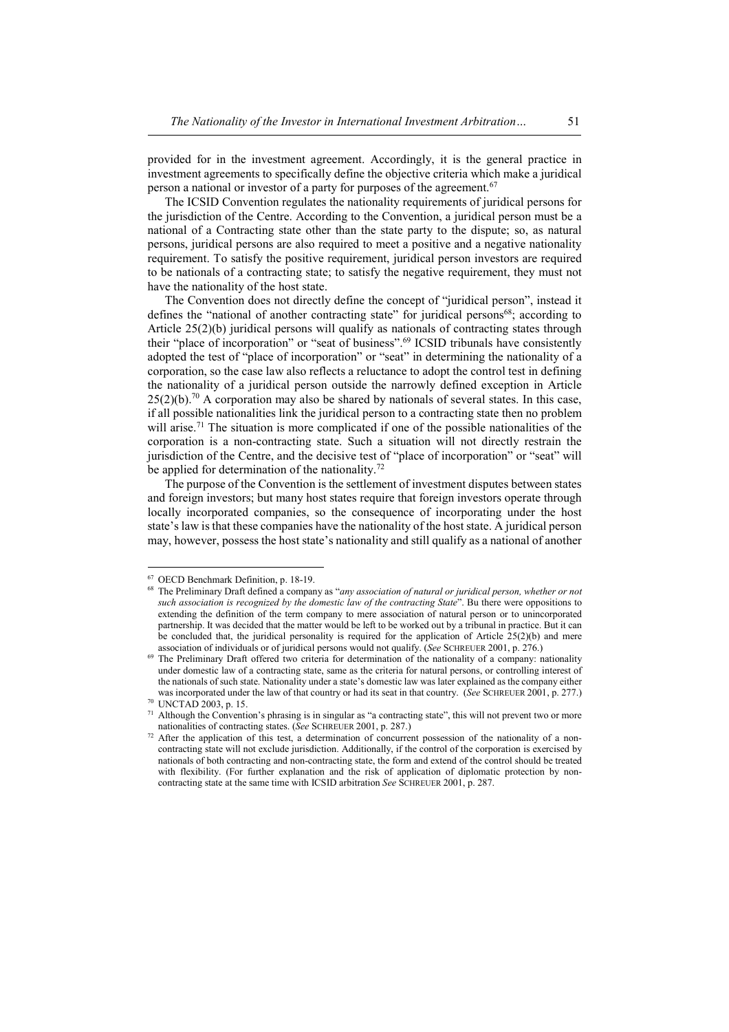provided for in the investment agreement. Accordingly, it is the general practice in investment agreements to specifically define the objective criteria which make a juridical person a national or investor of a party for purposes of the agreement.<sup>67</sup>

The ICSID Convention regulates the nationality requirements of juridical persons for the jurisdiction of the Centre. According to the Convention, a juridical person must be a national of a Contracting state other than the state party to the dispute; so, as natural persons, juridical persons are also required to meet a positive and a negative nationality requirement. To satisfy the positive requirement, juridical person investors are required to be nationals of a contracting state; to satisfy the negative requirement, they must not have the nationality of the host state.

The Convention does not directly define the concept of "juridical person", instead it defines the "national of another contracting state" for juridical persons $68$ ; according to Article 25(2)(b) juridical persons will qualify as nationals of contracting states through their "place of incorporation" or "seat of business".<sup>69</sup> ICSID tribunals have consistently adopted the test of "place of incorporation" or "seat" in determining the nationality of a corporation, so the case law also reflects a reluctance to adopt the control test in defining the nationality of a juridical person outside the narrowly defined exception in Article  $25(2)(b)$ .<sup>70</sup> A corporation may also be shared by nationals of several states. In this case, if all possible nationalities link the juridical person to a contracting state then no problem will arise.<sup>71</sup> The situation is more complicated if one of the possible nationalities of the corporation is a non-contracting state. Such a situation will not directly restrain the jurisdiction of the Centre, and the decisive test of "place of incorporation" or "seat" will be applied for determination of the nationality.<sup>72</sup>

The purpose of the Convention is the settlement of investment disputes between states and foreign investors; but many host states require that foreign investors operate through locally incorporated companies, so the consequence of incorporating under the host state's law is that these companies have the nationality of the host state. A juridical person may, however, possess the host state's nationality and still qualify as a national of another

<sup>67</sup> OECD Benchmark Definition, p. 18-19.

<sup>68</sup> The Preliminary Draft defined a company as "*any association of natural or juridical person, whether or not such association is recognized by the domestic law of the contracting State*". Bu there were oppositions to extending the definition of the term company to mere association of natural person or to unincorporated partnership. It was decided that the matter would be left to be worked out by a tribunal in practice. But it can be concluded that, the juridical personality is required for the application of Article  $25(2)(b)$  and mere association of individuals or of juridical persons would not qualify. (*See* SCHREUER 2001, p. 276.)

<sup>&</sup>lt;sup>69</sup> The Preliminary Draft offered two criteria for determination of the nationality of a company: nationality under domestic law of a contracting state, same as the criteria for natural persons, or controlling interest of the nationals of such state. Nationality under a state's domestic law was later explained as the company either was incorporated under the law of that country or had its seat in that country. (*See SCHREUER 2001*, p. 277.) <sup>70</sup> UNCTAD 2003, p. 15.

<sup>&</sup>lt;sup>71</sup> Although the Convention's phrasing is in singular as "a contracting state", this will not prevent two or more nationalities of contracting states. (*See* SCHREUER 2001, p. 287.)

<sup>72</sup> After the application of this test, a determination of concurrent possession of the nationality of a noncontracting state will not exclude jurisdiction. Additionally, if the control of the corporation is exercised by nationals of both contracting and non-contracting state, the form and extend of the control should be treated with flexibility. (For further explanation and the risk of application of diplomatic protection by noncontracting state at the same time with ICSID arbitration *See* SCHREUER 2001, p. 287.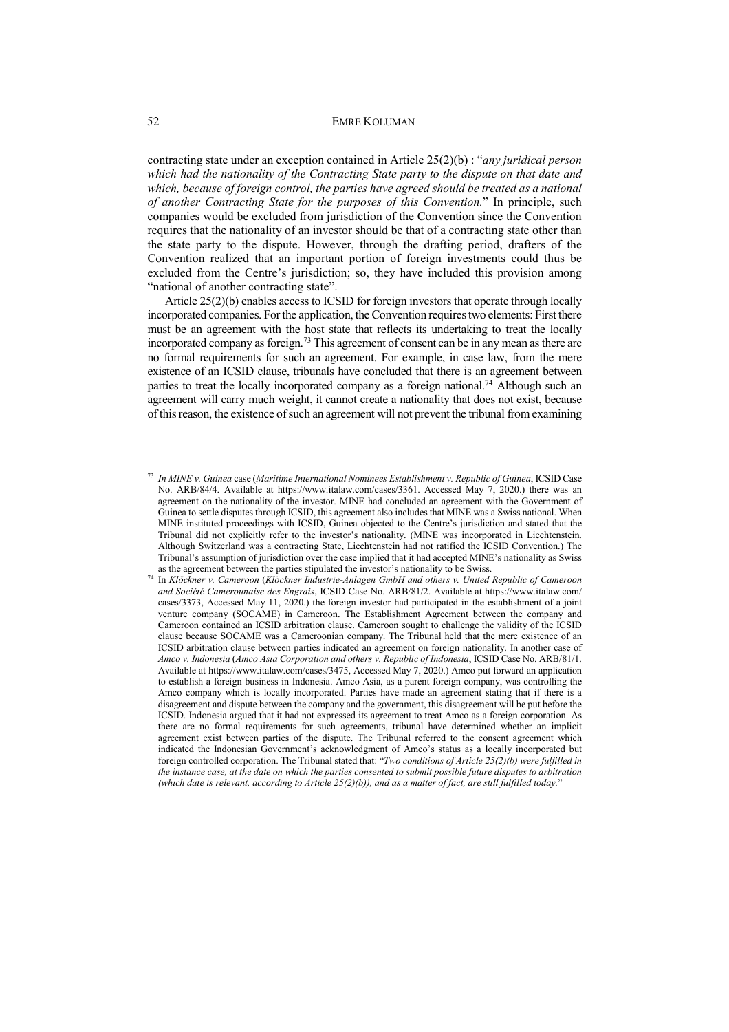contracting state under an exception contained in Article 25(2)(b) : "*any juridical person which had the nationality of the Contracting State party to the dispute on that date and which, because of foreign control, the parties have agreed should be treated as a national of another Contracting State for the purposes of this Convention.*" In principle, such companies would be excluded from jurisdiction of the Convention since the Convention requires that the nationality of an investor should be that of a contracting state other than the state party to the dispute. However, through the drafting period, drafters of the Convention realized that an important portion of foreign investments could thus be excluded from the Centre's jurisdiction; so, they have included this provision among "national of another contracting state".

Article 25(2)(b) enables access to ICSID for foreign investors that operate through locally incorporated companies. For the application, the Convention requires two elements: First there must be an agreement with the host state that reflects its undertaking to treat the locally incorporated company as foreign.<sup>73</sup> This agreement of consent can be in any mean as there are no formal requirements for such an agreement. For example, in case law, from the mere existence of an ICSID clause, tribunals have concluded that there is an agreement between parties to treat the locally incorporated company as a foreign national.<sup>74</sup> Although such an agreement will carry much weight, it cannot create a nationality that does not exist, because of this reason, the existence of such an agreement will not prevent the tribunal from examining

 73 *In MINE v. Guinea* case (*Maritime International Nominees Establishment v. Republic of Guinea*, ICSID Case No. ARB/84/4. Available at https://www.italaw.com/cases/3361. Accessed May 7, 2020.) there was an agreement on the nationality of the investor. MINE had concluded an agreement with the Government of Guinea to settle disputes through ICSID, this agreement also includes that MINE was a Swiss national. When MINE instituted proceedings with ICSID, Guinea objected to the Centre's jurisdiction and stated that the Tribunal did not explicitly refer to the investor's nationality. (MINE was incorporated in Liechtenstein. Although Switzerland was a contracting State, Liechtenstein had not ratified the ICSID Convention.) The Tribunal's assumption of jurisdiction over the case implied that it had accepted MINE's nationality as Swiss as the agreement between the parties stipulated the investor's nationality to be Swiss.

<sup>74</sup> In *Klöckner v. Cameroon* (*Klöckner Industrie-Anlagen GmbH and others v. United Republic of Cameroon and Société Camerounaise des Engrais*, ICSID Case No. ARB/81/2. Available at https://www.italaw.com/ cases/3373, Accessed May 11, 2020.) the foreign investor had participated in the establishment of a joint venture company (SOCAME) in Cameroon. The Establishment Agreement between the company and Cameroon contained an ICSID arbitration clause. Cameroon sought to challenge the validity of the ICSID clause because SOCAME was a Cameroonian company. The Tribunal held that the mere existence of an ICSID arbitration clause between parties indicated an agreement on foreign nationality. In another case of *Amco v. Indonesia* (*Amco Asia Corporation and others v. Republic of Indonesia*, ICSID Case No. ARB/81/1. Available at https://www.italaw.com/cases/3475, Accessed May 7, 2020.) Amco put forward an application to establish a foreign business in Indonesia. Amco Asia, as a parent foreign company, was controlling the Amco company which is locally incorporated. Parties have made an agreement stating that if there is a disagreement and dispute between the company and the government, this disagreement will be put before the ICSID. Indonesia argued that it had not expressed its agreement to treat Amco as a foreign corporation. As there are no formal requirements for such agreements, tribunal have determined whether an implicit agreement exist between parties of the dispute. The Tribunal referred to the consent agreement which indicated the Indonesian Government's acknowledgment of Amco's status as a locally incorporated but foreign controlled corporation. The Tribunal stated that: "*Two conditions of Article 25(2)(b) were fulfilled in the instance case, at the date on which the parties consented to submit possible future disputes to arbitration (which date is relevant, according to Article 25(2)(b)), and as a matter of fact, are still fulfilled today.*"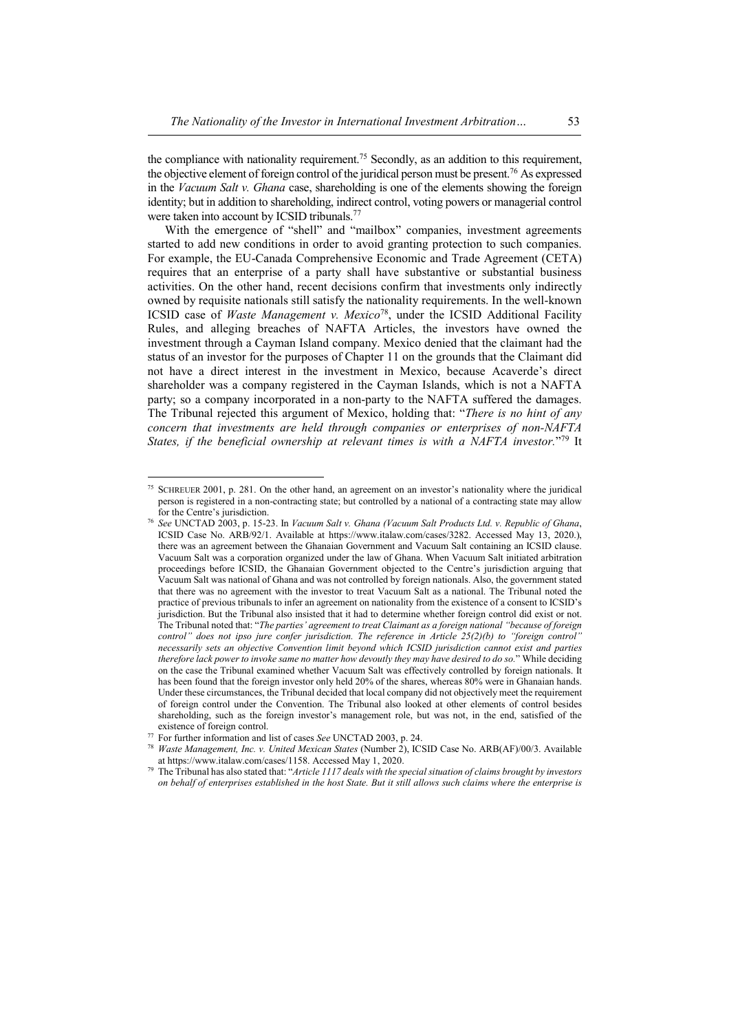the compliance with nationality requirement.<sup>75</sup> Secondly, as an addition to this requirement, the objective element of foreign control of the juridical person must be present.<sup>76</sup> As expressed in the *Vacuum Salt v. Ghana* case, shareholding is one of the elements showing the foreign identity; but in addition to shareholding, indirect control, voting powers or managerial control were taken into account by ICSID tribunals.<sup>77</sup>

With the emergence of "shell" and "mailbox" companies, investment agreements started to add new conditions in order to avoid granting protection to such companies. For example, the EU-Canada Comprehensive Economic and Trade Agreement (CETA) requires that an enterprise of a party shall have substantive or substantial business activities. On the other hand, recent decisions confirm that investments only indirectly owned by requisite nationals still satisfy the nationality requirements. In the well-known ICSID case of *Waste Management v. Mexico*<sup>78</sup>, under the ICSID Additional Facility Rules, and alleging breaches of NAFTA Articles, the investors have owned the investment through a Cayman Island company. Mexico denied that the claimant had the status of an investor for the purposes of Chapter 11 on the grounds that the Claimant did not have a direct interest in the investment in Mexico, because Acaverde's direct shareholder was a company registered in the Cayman Islands, which is not a NAFTA party; so a company incorporated in a non-party to the NAFTA suffered the damages. The Tribunal rejected this argument of Mexico, holding that: "*There is no hint of any concern that investments are held through companies or enterprises of non-NAFTA*  States, if the beneficial ownership at relevant times is with a NAFTA investor."<sup>79</sup> It

<sup>75</sup> SCHREUER 2001, p. 281. On the other hand, an agreement on an investor's nationality where the juridical person is registered in a non-contracting state; but controlled by a national of a contracting state may allow for the Centre's jurisdiction.

<sup>76</sup> *See* UNCTAD 2003, p. 15-23. In *Vacuum Salt v. Ghana (Vacuum Salt Products Ltd. v. Republic of Ghana*, ICSID Case No. ARB/92/1. Available at https://www.italaw.com/cases/3282. Accessed May 13, 2020.), there was an agreement between the Ghanaian Government and Vacuum Salt containing an ICSID clause. Vacuum Salt was a corporation organized under the law of Ghana. When Vacuum Salt initiated arbitration proceedings before ICSID, the Ghanaian Government objected to the Centre's jurisdiction arguing that Vacuum Salt was national of Ghana and was not controlled by foreign nationals. Also, the government stated that there was no agreement with the investor to treat Vacuum Salt as a national. The Tribunal noted the practice of previous tribunals to infer an agreement on nationality from the existence of a consent to ICSID's jurisdiction. But the Tribunal also insisted that it had to determine whether foreign control did exist or not. The Tribunal noted that: "*The parties' agreement to treat Claimant as a foreign national "because of foreign control" does not ipso jure confer jurisdiction. The reference in Article 25(2)(b) to "foreign control" necessarily sets an objective Convention limit beyond which ICSID jurisdiction cannot exist and parties therefore lack power to invoke same no matter how devoutly they may have desired to do so.*" While deciding on the case the Tribunal examined whether Vacuum Salt was effectively controlled by foreign nationals. It has been found that the foreign investor only held 20% of the shares, whereas 80% were in Ghanaian hands. Under these circumstances, the Tribunal decided that local company did not objectively meet the requirement of foreign control under the Convention. The Tribunal also looked at other elements of control besides shareholding, such as the foreign investor's management role, but was not, in the end, satisfied of the existence of foreign control.

<sup>77</sup> For further information and list of cases *See* UNCTAD 2003, p. 24.

<sup>78</sup> *Waste Management, Inc. v. United Mexican States* (Number 2), ICSID Case No. ARB(AF)/00/3. Available at https://www.italaw.com/cases/1158. Accessed May 1, 2020.

<sup>79</sup> The Tribunal has also stated that: "*Article 1117 deals with the special situation of claims brought by investors on behalf of enterprises established in the host State. But it still allows such claims where the enterprise is*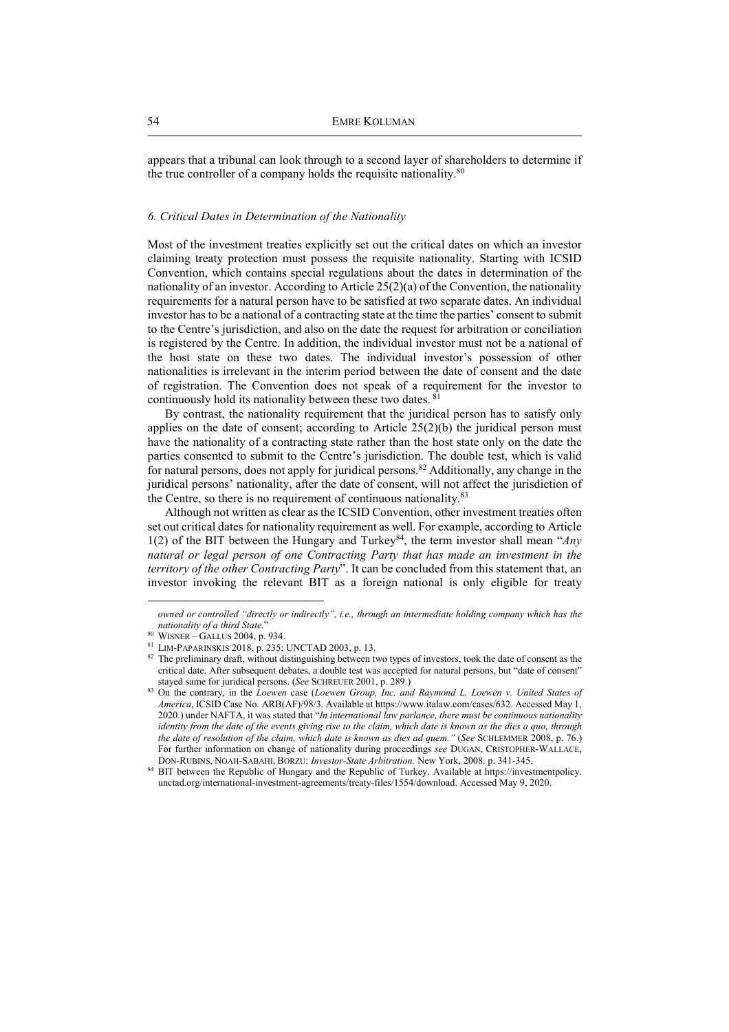appears that a tribunal can look through to a second layer of shareholders to determine if the true controller of a company holds the requisite nationality.<sup>80</sup>

# *6. Critical Dates in Determination of the Nationality*

Most of the investment treaties explicitly set out the critical dates on which an investor claiming treaty protection must possess the requisite nationality. Starting with ICSID Convention, which contains special regulations about the dates in determination of the nationality of an investor. According to Article 25(2)(a) of the Convention, the nationality requirements for a natural person have to be satisfied at two separate dates. An individual investor has to be a national of a contracting state at the time the parties' consent to submit to the Centre's jurisdiction, and also on the date the request for arbitration or conciliation is registered by the Centre. In addition, the individual investor must not be a national of the host state on these two dates. The individual investor's possession of other nationalities is irrelevant in the interim period between the date of consent and the date of registration. The Convention does not speak of a requirement for the investor to continuously hold its nationality between these two dates. <sup>81</sup>

By contrast, the nationality requirement that the juridical person has to satisfy only applies on the date of consent; according to Article  $25(2)(b)$  the juridical person must have the nationality of a contracting state rather than the host state only on the date the parties consented to submit to the Centre's jurisdiction. The double test, which is valid for natural persons, does not apply for juridical persons.<sup>82</sup> Additionally, any change in the juridical persons' nationality, after the date of consent, will not affect the jurisdiction of the Centre, so there is no requirement of continuous nationality.<sup>83</sup>

Although not written as clear as the ICSID Convention, other investment treaties often set out critical dates for nationality requirement as well. For example, according to Article 1(2) of the BIT between the Hungary and Turkey<sup>84</sup>, the term investor shall mean "*Any natural or legal person of one Contracting Party that has made an investment in the territory of the other Contracting Party*". It can be concluded from this statement that, an investor invoking the relevant BIT as a foreign national is only eligible for treaty

*owned or controlled "directly or indirectly", i.e., through an intermediate holding company which has the nationality of a third State.*"

<sup>80</sup> WISNER – GALLUS 2004, p. 934.

<sup>81</sup> LIM-PAPARINSKIS 2018, p. 235; UNCTAD 2003, p. 13.

<sup>82</sup> The preliminary draft, without distinguishing between two types of investors, took the date of consent as the critical date. After subsequent debates, a double test was accepted for natural persons, but "date of consent" stayed same for juridical persons. (*See* SCHREUER 2001, p. 289.)

<sup>83</sup> On the contrary, in the *Loewen* case (*Loewen Group, Inc. and Raymond L. Loewen v. United States of America*, ICSID Case No. ARB(AF)/98/3. Available at https://www.italaw.com/cases/632. Accessed May 1, 2020.) under NAFTA, it was stated that "*In international law parlance, there must be continuous nationality identity from the date of the events giving rise to the claim, which date is known as the dies a quo, through the date of resolution of the claim, which date is known as dies ad quem."* (*See* SCHLEMMER 2008, p. 76.) For further information on change of nationality during proceedings *see* DUGAN, CRISTOPHER-WALLACE, DON-RUBINS, NOAH-SABAHI, BORZU: *Investor-State Arbitration.* New York, 2008. p. 341-345.

<sup>84</sup> BIT between the Republic of Hungary and the Republic of Turkey. Available at https://investmentpolicy. unctad.org/international-investment-agreements/treaty-files/1554/download. Accessed May 9, 2020.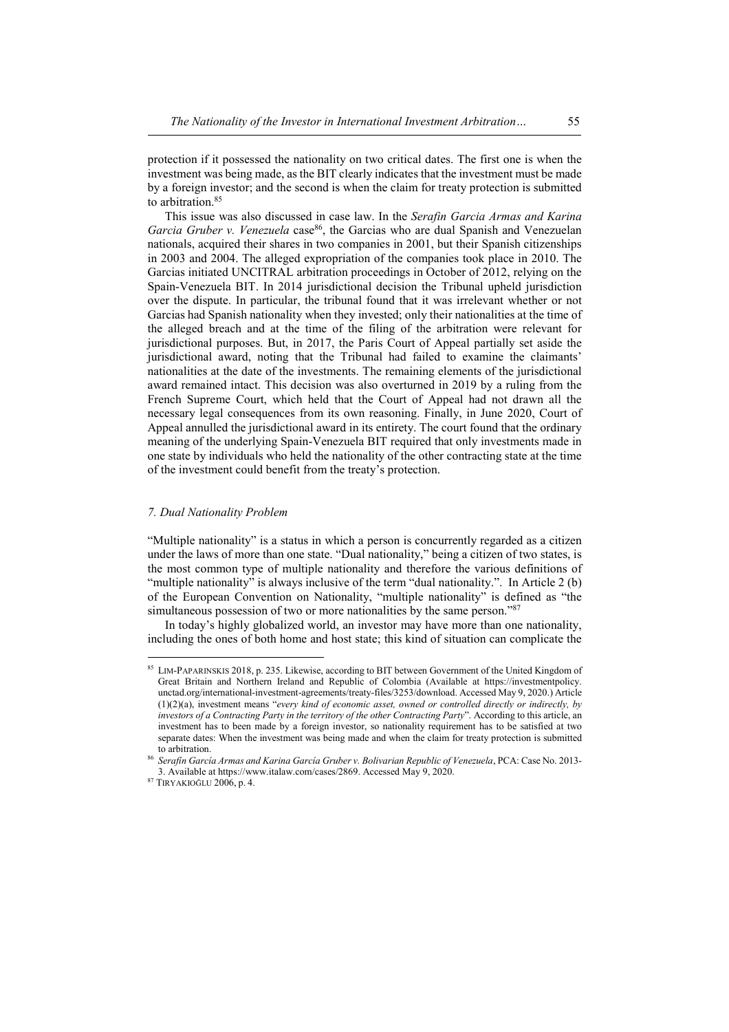protection if it possessed the nationality on two critical dates. The first one is when the investment was being made, as the BIT clearly indicates that the investment must be made by a foreign investor; and the second is when the claim for treaty protection is submitted to arbitration.<sup>85</sup>

This issue was also discussed in case law. In the *Serafin Garcia Armas and Karina Garcia Gruber v. Venezuela* case<sup>86</sup>, the Garcias who are dual Spanish and Venezuelan nationals, acquired their shares in two companies in 2001, but their Spanish citizenships in 2003 and 2004. The alleged expropriation of the companies took place in 2010. The Garcias initiated UNCITRAL arbitration proceedings in October of 2012, relying on the Spain-Venezuela BIT. In 2014 jurisdictional decision the Tribunal upheld jurisdiction over the dispute. In particular, the tribunal found that it was irrelevant whether or not Garcias had Spanish nationality when they invested; only their nationalities at the time of the alleged breach and at the time of the filing of the arbitration were relevant for jurisdictional purposes. But, in 2017, the Paris Court of Appeal partially set aside the jurisdictional award, noting that the Tribunal had failed to examine the claimants' nationalities at the date of the investments. The remaining elements of the jurisdictional award remained intact. This decision was also overturned in 2019 by a ruling from the French Supreme Court, which held that the Court of Appeal had not drawn all the necessary legal consequences from its own reasoning. Finally, in June 2020, Court of Appeal annulled the jurisdictional award in its entirety. The court found that the ordinary meaning of the underlying Spain-Venezuela BIT required that only investments made in one state by individuals who held the nationality of the other contracting state at the time of the investment could benefit from the treaty's protection.

# *7. Dual Nationality Problem*

"Multiple nationality" is a status in which a person is concurrently regarded as a citizen under the laws of more than one state. "Dual nationality," being a citizen of two states, is the most common type of multiple nationality and therefore the various definitions of "multiple nationality" is always inclusive of the term "dual nationality.". In Article 2 (b) of the European Convention on Nationality, "multiple nationality" is defined as "the simultaneous possession of two or more nationalities by the same person."<sup>87</sup>

In today's highly globalized world, an investor may have more than one nationality, including the ones of both home and host state; this kind of situation can complicate the

<sup>85</sup> LIM-PAPARINSKIS 2018, p. 235. Likewise, according to BIT between Government of the United Kingdom of Great Britain and Northern Ireland and Republic of Colombia (Available at https://investmentpolicy. unctad.org/international-investment-agreements/treaty-files/3253/download. Accessed May 9, 2020.) Article (1)(2)(a), investment means "*every kind of economic asset, owned or controlled directly or indirectly, by investors of a Contracting Party in the territory of the other Contracting Party*". According to this article, an investment has to been made by a foreign investor, so nationality requirement has to be satisfied at two separate dates: When the investment was being made and when the claim for treaty protection is submitted to arbitration.

<sup>86</sup> *Serafín García Armas and Karina García Gruber v. Bolivarian Republic of Venezuela*, PCA: Case No. 2013- 3. Available at https://www.italaw.com/cases/2869. Accessed May 9, 2020.

<sup>87</sup> TIRYAKIOĞLU 2006, p. 4.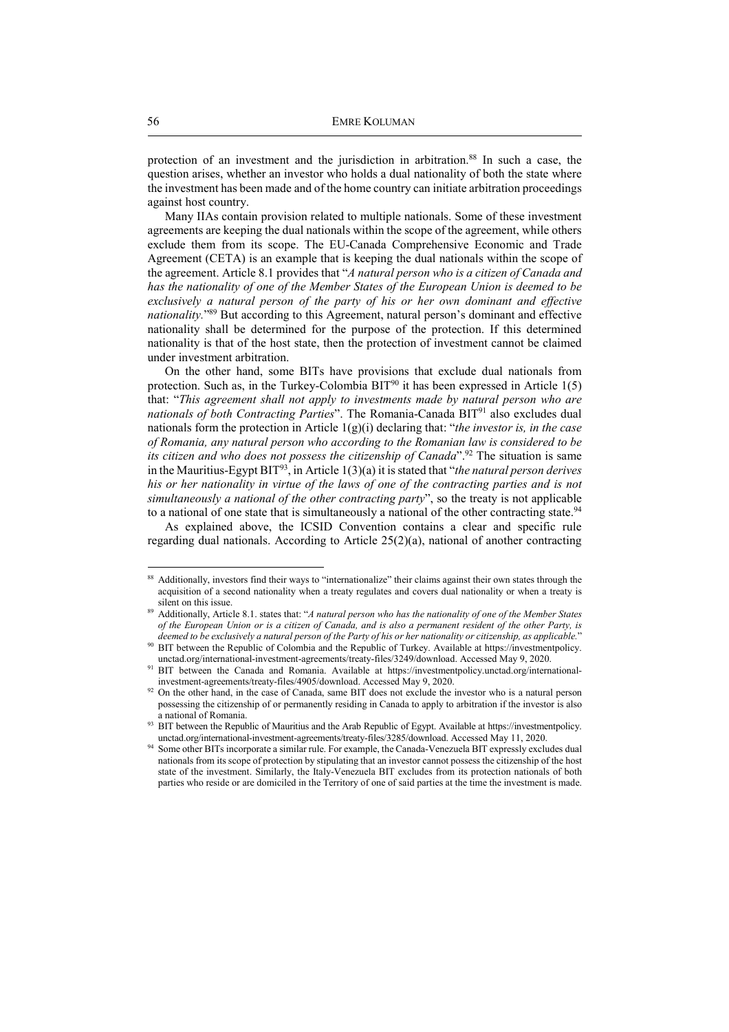protection of an investment and the jurisdiction in arbitration.<sup>88</sup> In such a case, the question arises, whether an investor who holds a dual nationality of both the state where the investment has been made and of the home country can initiate arbitration proceedings against host country.

Many IIAs contain provision related to multiple nationals. Some of these investment agreements are keeping the dual nationals within the scope of the agreement, while others exclude them from its scope. The EU-Canada Comprehensive Economic and Trade Agreement (CETA) is an example that is keeping the dual nationals within the scope of the agreement. Article 8.1 provides that "*A natural person who is a citizen of Canada and has the nationality of one of the Member States of the European Union is deemed to be exclusively a natural person of the party of his or her own dominant and effective nationality.*" <sup>89</sup> But according to this Agreement, natural person's dominant and effective nationality shall be determined for the purpose of the protection. If this determined nationality is that of the host state, then the protection of investment cannot be claimed under investment arbitration.

On the other hand, some BITs have provisions that exclude dual nationals from protection. Such as, in the Turkey-Colombia  $BIT^{90}$  it has been expressed in Article 1(5) that: "*This agreement shall not apply to investments made by natural person who are nationals of both Contracting Parties*". The Romania-Canada BIT<sup>91</sup> also excludes dual nationals form the protection in Article 1(g)(i) declaring that: "*the investor is, in the case of Romania, any natural person who according to the Romanian law is considered to be its citizen and who does not possess the citizenship of Canada*".<sup>92</sup> The situation is same in the Mauritius-Egypt BIT<sup>93</sup>, in Article 1(3)(a) it is stated that "*the natural person derives his or her nationality in virtue of the laws of one of the contracting parties and is not simultaneously a national of the other contracting party*", so the treaty is not applicable to a national of one state that is simultaneously a national of the other contracting state.<sup>94</sup>

As explained above, the ICSID Convention contains a clear and specific rule regarding dual nationals. According to Article 25(2)(a), national of another contracting

<sup>88</sup> Additionally, investors find their ways to "internationalize" their claims against their own states through the acquisition of a second nationality when a treaty regulates and covers dual nationality or when a treaty is silent on this issue.

<sup>89</sup> Additionally, Article 8.1. states that: "*A natural person who has the nationality of one of the Member States of the European Union or is a citizen of Canada, and is also a permanent resident of the other Party, is deemed to be exclusively a natural person of the Party of his or her nationality or citizenship, as applicable.*"

<sup>90</sup> BIT between the Republic of Colombia and the Republic of Turkey. Available at https://investmentpolicy. unctad.org/international-investment-agreements/treaty-files/3249/download. Accessed May 9, 2020.

<sup>91</sup> BIT between the Canada and Romania. Available at https://investmentpolicy.unctad.org/internationalinvestment-agreements/treaty-files/4905/download. Accessed May 9, 2020.

<sup>&</sup>lt;sup>92</sup> On the other hand, in the case of Canada, same BIT does not exclude the investor who is a natural person possessing the citizenship of or permanently residing in Canada to apply to arbitration if the investor is also a national of Romania.

<sup>93</sup> BIT between the Republic of Mauritius and the Arab Republic of Egypt. Available at https://investmentpolicy. unctad.org/international-investment-agreements/treaty-files/3285/download. Accessed May 11, 2020.

<sup>&</sup>lt;sup>94</sup> Some other BITs incorporate a similar rule. For example, the Canada-Venezuela BIT expressly excludes dual nationals from its scope of protection by stipulating that an investor cannot possess the citizenship of the host state of the investment. Similarly, the Italy-Venezuela BIT excludes from its protection nationals of both parties who reside or are domiciled in the Territory of one of said parties at the time the investment is made.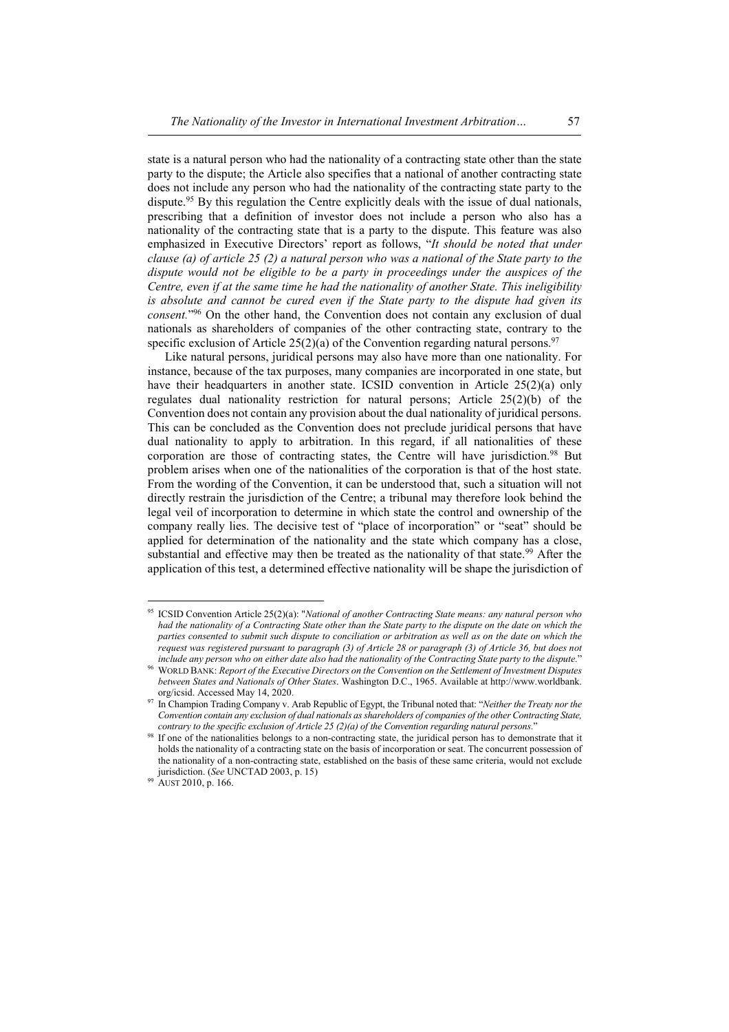state is a natural person who had the nationality of a contracting state other than the state party to the dispute; the Article also specifies that a national of another contracting state does not include any person who had the nationality of the contracting state party to the dispute.<sup>95</sup> By this regulation the Centre explicitly deals with the issue of dual nationals, prescribing that a definition of investor does not include a person who also has a nationality of the contracting state that is a party to the dispute. This feature was also emphasized in Executive Directors' report as follows, "*It should be noted that under clause (a) of article 25 (2) a natural person who was a national of the State party to the dispute would not be eligible to be a party in proceedings under the auspices of the Centre, even if at the same time he had the nationality of another State. This ineligibility is absolute and cannot be cured even if the State party to the dispute had given its consent.*" <sup>96</sup> On the other hand, the Convention does not contain any exclusion of dual nationals as shareholders of companies of the other contracting state, contrary to the specific exclusion of Article 25(2)(a) of the Convention regarding natural persons.<sup>97</sup>

Like natural persons, juridical persons may also have more than one nationality. For instance, because of the tax purposes, many companies are incorporated in one state, but have their headquarters in another state. ICSID convention in Article 25(2)(a) only regulates dual nationality restriction for natural persons; Article 25(2)(b) of the Convention does not contain any provision about the dual nationality of juridical persons. This can be concluded as the Convention does not preclude juridical persons that have dual nationality to apply to arbitration. In this regard, if all nationalities of these corporation are those of contracting states, the Centre will have jurisdiction.<sup>98</sup> But problem arises when one of the nationalities of the corporation is that of the host state. From the wording of the Convention, it can be understood that, such a situation will not directly restrain the jurisdiction of the Centre; a tribunal may therefore look behind the legal veil of incorporation to determine in which state the control and ownership of the company really lies. The decisive test of "place of incorporation" or "seat" should be applied for determination of the nationality and the state which company has a close, substantial and effective may then be treated as the nationality of that state.<sup>99</sup> After the application of this test, a determined effective nationality will be shape the jurisdiction of

<sup>95</sup> ICSID Convention Article 25(2)(a): "*National of another Contracting State means: any natural person who had the nationality of a Contracting State other than the State party to the dispute on the date on which the parties consented to submit such dispute to conciliation or arbitration as well as on the date on which the request was registered pursuant to paragraph (3) of Article 28 or paragraph (3) of Article 36, but does not include any person who on either date also had the nationality of the Contracting State party to the dispute.*"

<sup>96</sup> WORLD BANK: *Report of the Executive Directors on the Convention on the Settlement of Investment Disputes between States and Nationals of Other States*. Washington D.C., 1965. Available at http://www.worldbank. org/icsid. Accessed May 14, 2020.

<sup>97</sup> In Champion Trading Company v. Arab Republic of Egypt, the Tribunal noted that: "*Neither the Treaty nor the Convention contain any exclusion of dual nationals as shareholders of companies of the other Contracting State, contrary to the specific exclusion of Article 25 (2)(a) of the Convention regarding natural persons*."

<sup>&</sup>lt;sup>98</sup> If one of the nationalities belongs to a non-contracting state, the juridical person has to demonstrate that it holds the nationality of a contracting state on the basis of incorporation or seat. The concurrent possession of the nationality of a non-contracting state, established on the basis of these same criteria, would not exclude jurisdiction. (*See* UNCTAD 2003, p. 15)

<sup>99</sup> AUST 2010, p. 166.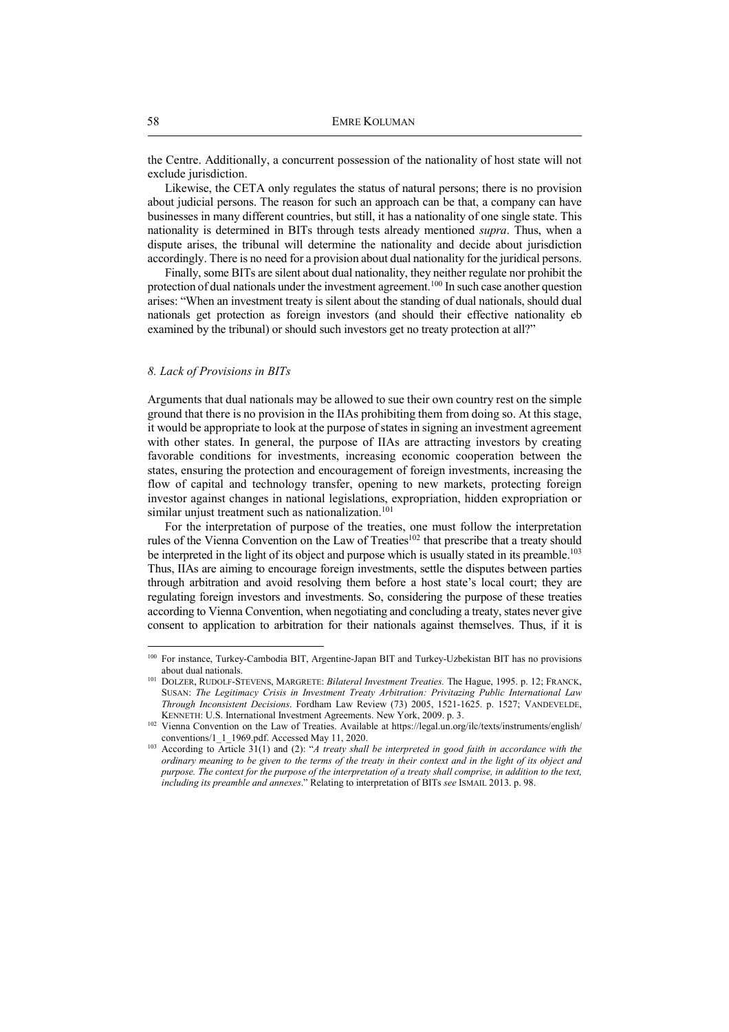the Centre. Additionally, a concurrent possession of the nationality of host state will not exclude jurisdiction.

Likewise, the CETA only regulates the status of natural persons; there is no provision about judicial persons. The reason for such an approach can be that, a company can have businesses in many different countries, but still, it has a nationality of one single state. This nationality is determined in BITs through tests already mentioned *supra*. Thus, when a dispute arises, the tribunal will determine the nationality and decide about jurisdiction accordingly. There is no need for a provision about dual nationality for the juridical persons.

Finally, some BITs are silent about dual nationality, they neither regulate nor prohibit the protection of dual nationals under the investment agreement.<sup>100</sup> In such case another question arises: "When an investment treaty is silent about the standing of dual nationals, should dual nationals get protection as foreign investors (and should their effective nationality eb examined by the tribunal) or should such investors get no treaty protection at all?"

# *8. Lack of Provisions in BITs*

Arguments that dual nationals may be allowed to sue their own country rest on the simple ground that there is no provision in the IIAs prohibiting them from doing so. At this stage, it would be appropriate to look at the purpose of states in signing an investment agreement with other states. In general, the purpose of IIAs are attracting investors by creating favorable conditions for investments, increasing economic cooperation between the states, ensuring the protection and encouragement of foreign investments, increasing the flow of capital and technology transfer, opening to new markets, protecting foreign investor against changes in national legislations, expropriation, hidden expropriation or similar unjust treatment such as nationalization.<sup>101</sup>

For the interpretation of purpose of the treaties, one must follow the interpretation rules of the Vienna Convention on the Law of Treaties<sup>102</sup> that prescribe that a treaty should be interpreted in the light of its object and purpose which is usually stated in its preamble.<sup>103</sup> Thus, IIAs are aiming to encourage foreign investments, settle the disputes between parties through arbitration and avoid resolving them before a host state's local court; they are regulating foreign investors and investments. So, considering the purpose of these treaties according to Vienna Convention, when negotiating and concluding a treaty, states never give consent to application to arbitration for their nationals against themselves. Thus, if it is

<sup>100</sup> For instance, Turkey-Cambodia BIT, Argentine-Japan BIT and Turkey-Uzbekistan BIT has no provisions about dual nationals.

<sup>101</sup> DOLZER, RUDOLF-STEVENS, MARGRETE: *Bilateral Investment Treaties.* The Hague, 1995. p. 12; FRANCK, SUSAN: *The Legitimacy Crisis in Investment Treaty Arbitration: Privitazing Public International Law Through Inconsistent Decisions*. Fordham Law Review (73) 2005, 1521-1625. p. 1527; VANDEVELDE, KENNETH: U.S. International Investment Agreements. New York, 2009. p. 3.

<sup>102</sup> Vienna Convention on the Law of Treaties. Available at https://legal.un.org/ilc/texts/instruments/english/ conventions/1\_1\_1969.pdf. Accessed May 11, 2020.

<sup>103</sup> According to Article 31(1) and (2): "*A treaty shall be interpreted in good faith in accordance with the ordinary meaning to be given to the terms of the treaty in their context and in the light of its object and purpose. The context for the purpose of the interpretation of a treaty shall comprise, in addition to the text, including its preamble and annexes*." Relating to interpretation of BITs *see* ISMAIL 2013. p. 98.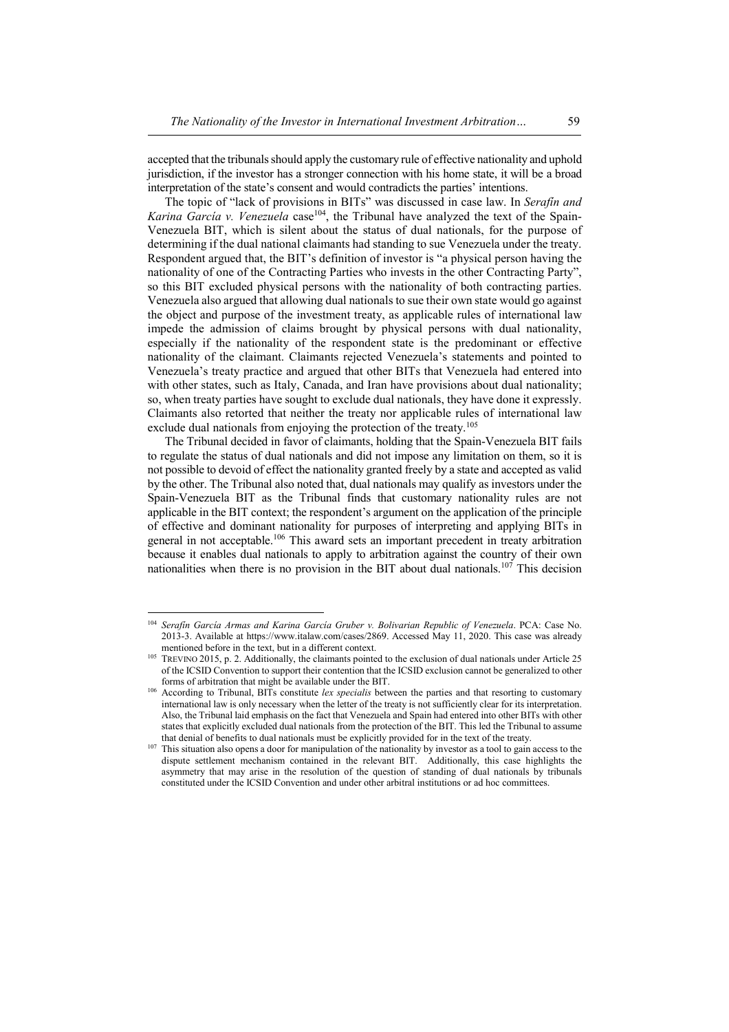accepted that the tribunals should apply the customary rule of effective nationality and uphold jurisdiction, if the investor has a stronger connection with his home state, it will be a broad interpretation of the state's consent and would contradicts the parties' intentions.

The topic of "lack of provisions in BITs" was discussed in case law. In *Serafín and Karina García v. Venezuela* case<sup>104</sup>, the Tribunal have analyzed the text of the Spain-Venezuela BIT, which is silent about the status of dual nationals, for the purpose of determining if the dual national claimants had standing to sue Venezuela under the treaty. Respondent argued that, the BIT's definition of investor is "a physical person having the nationality of one of the Contracting Parties who invests in the other Contracting Party", so this BIT excluded physical persons with the nationality of both contracting parties. Venezuela also argued that allowing dual nationals to sue their own state would go against the object and purpose of the investment treaty, as applicable rules of international law impede the admission of claims brought by physical persons with dual nationality, especially if the nationality of the respondent state is the predominant or effective nationality of the claimant. Claimants rejected Venezuela's statements and pointed to Venezuela's treaty practice and argued that other BITs that Venezuela had entered into with other states, such as Italy, Canada, and Iran have provisions about dual nationality; so, when treaty parties have sought to exclude dual nationals, they have done it expressly. Claimants also retorted that neither the treaty nor applicable rules of international law exclude dual nationals from enjoying the protection of the treaty.<sup>105</sup>

The Tribunal decided in favor of claimants, holding that the Spain-Venezuela BIT fails to regulate the status of dual nationals and did not impose any limitation on them, so it is not possible to devoid of effect the nationality granted freely by a state and accepted as valid by the other. The Tribunal also noted that, dual nationals may qualify as investors under the Spain-Venezuela BIT as the Tribunal finds that customary nationality rules are not applicable in the BIT context; the respondent's argument on the application of the principle of effective and dominant nationality for purposes of interpreting and applying BITs in general in not acceptable.<sup>106</sup> This award sets an important precedent in treaty arbitration because it enables dual nationals to apply to arbitration against the country of their own nationalities when there is no provision in the BIT about dual nationals.<sup>107</sup> This decision

 104 *Serafín García Armas and Karina García Gruber v. Bolivarian Republic of Venezuela*. PCA: Case No. 2013-3. Available at https://www.italaw.com/cases/2869. Accessed May 11, 2020. This case was already mentioned before in the text, but in a different context.

<sup>105</sup> TREVINO 2015, p. 2. Additionally, the claimants pointed to the exclusion of dual nationals under Article 25 of the ICSID Convention to support their contention that the ICSID exclusion cannot be generalized to other forms of arbitration that might be available under the BIT.

<sup>&</sup>lt;sup>106</sup> According to Tribunal, BITs constitute *lex specialis* between the parties and that resorting to customary international law is only necessary when the letter of the treaty is not sufficiently clear for its interpretation. Also, the Tribunal laid emphasis on the fact that Venezuela and Spain had entered into other BITs with other states that explicitly excluded dual nationals from the protection of the BIT. This led the Tribunal to assume that denial of benefits to dual nationals must be explicitly provided for in the text of the treaty.

This situation also opens a door for manipulation of the nationality by investor as a tool to gain access to the dispute settlement mechanism contained in the relevant BIT. Additionally, this case highlights the asymmetry that may arise in the resolution of the question of standing of dual nationals by tribunals constituted under the ICSID Convention and under other arbitral institutions or ad hoc committees.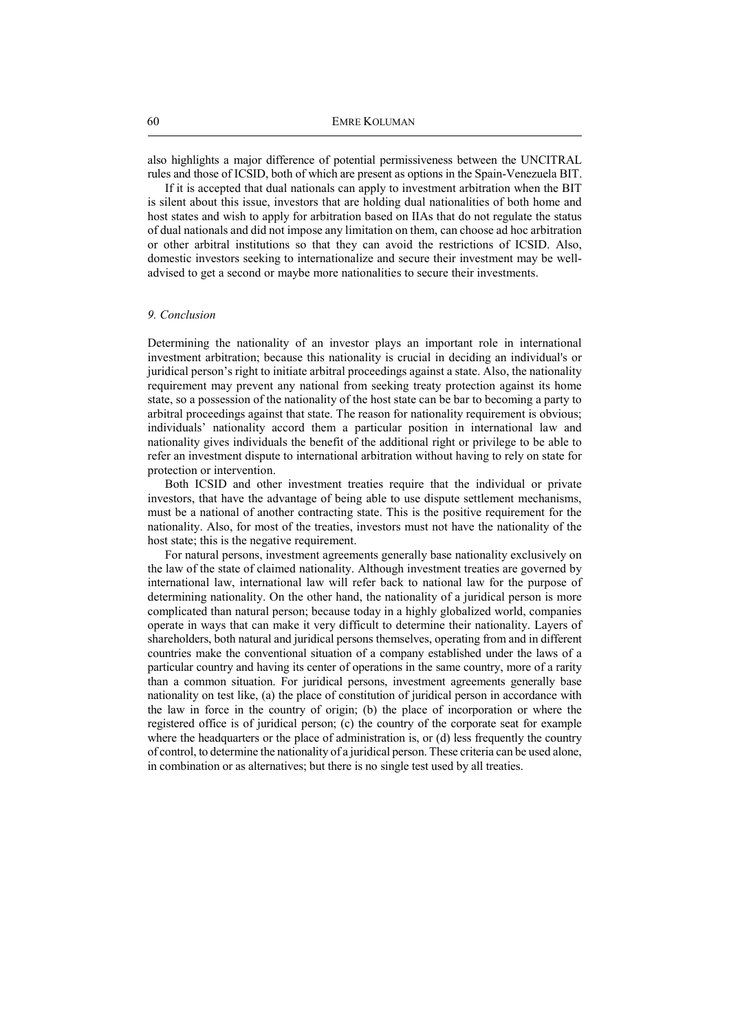also highlights a major difference of potential permissiveness between the UNCITRAL rules and those of ICSID, both of which are present as options in the Spain-Venezuela BIT.

If it is accepted that dual nationals can apply to investment arbitration when the BIT is silent about this issue, investors that are holding dual nationalities of both home and host states and wish to apply for arbitration based on IIAs that do not regulate the status of dual nationals and did not impose any limitation on them, can choose ad hoc arbitration or other arbitral institutions so that they can avoid the restrictions of ICSID. Also, domestic investors seeking to internationalize and secure their investment may be welladvised to get a second or maybe more nationalities to secure their investments.

# *9. Conclusion*

Determining the nationality of an investor plays an important role in international investment arbitration; because this nationality is crucial in deciding an individual's or juridical person's right to initiate arbitral proceedings against a state. Also, the nationality requirement may prevent any national from seeking treaty protection against its home state, so a possession of the nationality of the host state can be bar to becoming a party to arbitral proceedings against that state. The reason for nationality requirement is obvious; individuals' nationality accord them a particular position in international law and nationality gives individuals the benefit of the additional right or privilege to be able to refer an investment dispute to international arbitration without having to rely on state for protection or intervention.

Both ICSID and other investment treaties require that the individual or private investors, that have the advantage of being able to use dispute settlement mechanisms, must be a national of another contracting state. This is the positive requirement for the nationality. Also, for most of the treaties, investors must not have the nationality of the host state; this is the negative requirement.

For natural persons, investment agreements generally base nationality exclusively on the law of the state of claimed nationality. Although investment treaties are governed by international law, international law will refer back to national law for the purpose of determining nationality. On the other hand, the nationality of a juridical person is more complicated than natural person; because today in a highly globalized world, companies operate in ways that can make it very difficult to determine their nationality. Layers of shareholders, both natural and juridical persons themselves, operating from and in different countries make the conventional situation of a company established under the laws of a particular country and having its center of operations in the same country, more of a rarity than a common situation. For juridical persons, investment agreements generally base nationality on test like, (a) the place of constitution of juridical person in accordance with the law in force in the country of origin; (b) the place of incorporation or where the registered office is of juridical person; (c) the country of the corporate seat for example where the headquarters or the place of administration is, or (d) less frequently the country of control, to determine the nationality of a juridical person. These criteria can be used alone, in combination or as alternatives; but there is no single test used by all treaties.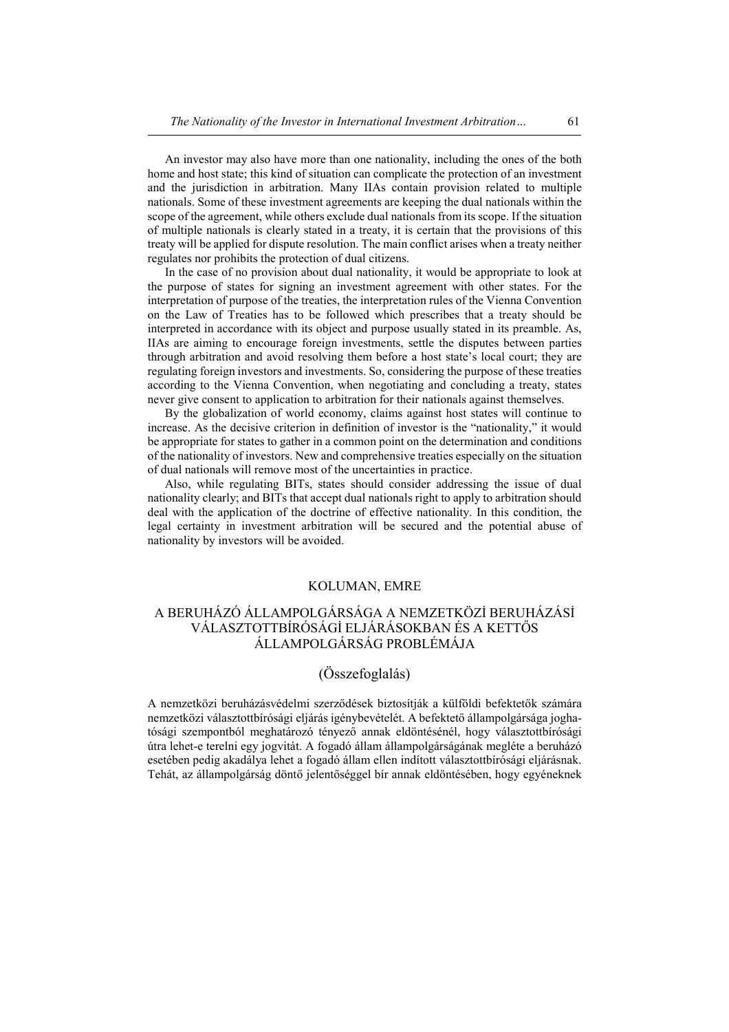An investor may also have more than one nationality, including the ones of the both home and host state; this kind of situation can complicate the protection of an investment and the jurisdiction in arbitration. Many IIAs contain provision related to multiple nationals. Some of these investment agreements are keeping the dual nationals within the scope of the agreement, while others exclude dual nationals from its scope. If the situation of multiple nationals is clearly stated in a treaty, it is certain that the provisions of this treaty will be applied for dispute resolution. The main conflict arises when a treaty neither regulates nor prohibits the protection of dual citizens.

In the case of no provision about dual nationality, it would be appropriate to look at the purpose of states for signing an investment agreement with other states. For the interpretation of purpose of the treaties, the interpretation rules of the Vienna Convention on the Law of Treaties has to be followed which prescribes that a treaty should be interpreted in accordance with its object and purpose usually stated in its preamble. As, IIAs are aiming to encourage foreign investments, settle the disputes between parties through arbitration and avoid resolving them before a host state's local court; they are regulating foreign investors and investments. So, considering the purpose of these treaties according to the Vienna Convention, when negotiating and concluding a treaty, states never give consent to application to arbitration for their nationals against themselves.

By the globalization of world economy, claims against host states will continue to increase. As the decisive criterion in definition of investor is the "nationality," it would be appropriate for states to gather in a common point on the determination and conditions of the nationality of investors. New and comprehensive treaties especially on the situation of dual nationals will remove most of the uncertainties in practice.

Also, while regulating BITs, states should consider addressing the issue of dual nationality clearly; and BITs that accept dual nationals right to apply to arbitration should deal with the application of the doctrine of effective nationality. In this condition, the legal certainty in investment arbitration will be secured and the potential abuse of nationality by investors will be avoided.

# KOLUMAN, EMRE

# A BERUHÁZÓ ÁLLAMPOLGÁRSÁGA A NEMZETKÖZİ BERUHÁZÁSİ VÁLASZTOTTBÍRÓSÁGİ ELJÁRÁSOKBAN ÉS A KETTŐS ÁLLAMPOLGÁRSÁG PROBLÉMÁJA

# (Összefoglalás)

A nemzetközi beruházásvédelmi szerződések biztosítják a külföldi befektetők számára nemzetközi választottbírósági eljárás igénybevételét. A befektető állampolgársága joghatósági szempontból meghatározó tényező annak eldöntésénél, hogy választottbírósági útra lehet-e terelni egy jogvitát. A fogadó állam állampolgárságának megléte a beruházó esetében pedig akadálya lehet a fogadó állam ellen indított választottbírósági eljárásnak. Tehát, az állampolgárság döntő jelentőséggel bír annak eldöntésében, hogy egyéneknek